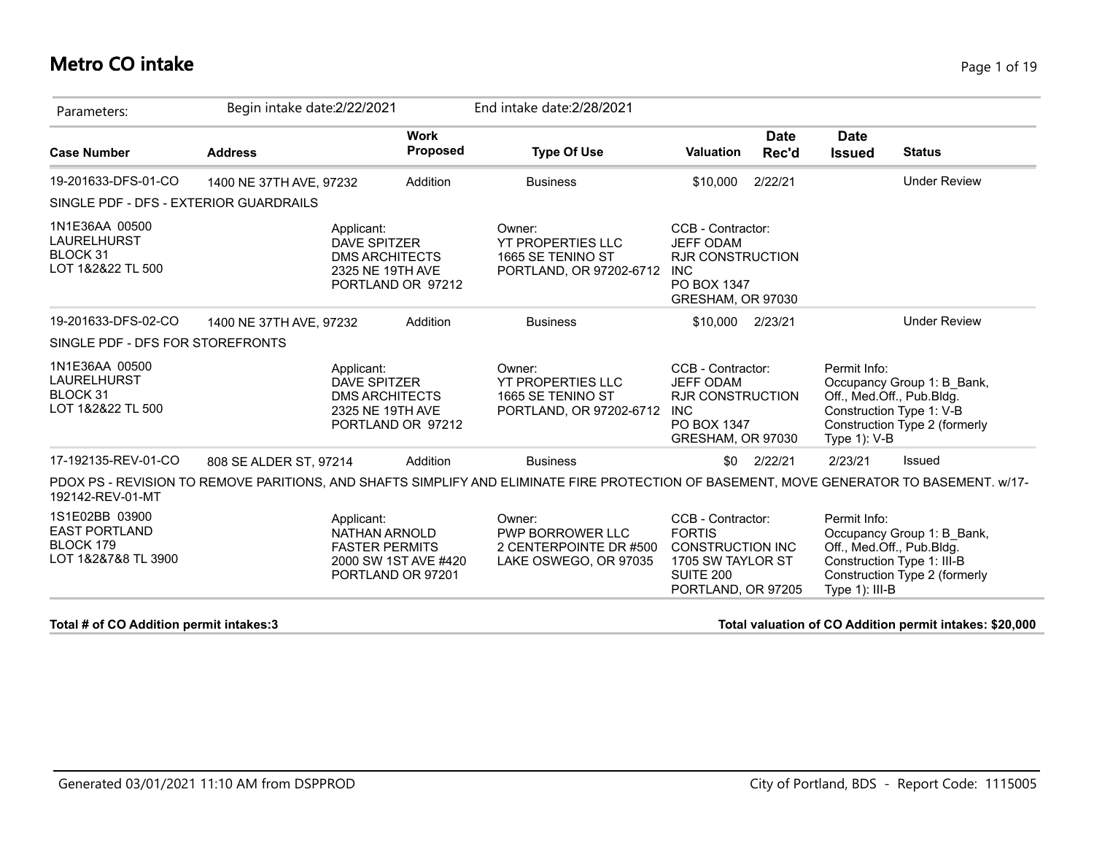### **Metro CO intake** Page 1 of 19

| Parameters:                                                                | Begin intake date:2/22/2021 |                                                                                            | End intake date: 2/28/2021                                                                                                               |                                                                                                                       |                      |                                |                                                                                                                        |
|----------------------------------------------------------------------------|-----------------------------|--------------------------------------------------------------------------------------------|------------------------------------------------------------------------------------------------------------------------------------------|-----------------------------------------------------------------------------------------------------------------------|----------------------|--------------------------------|------------------------------------------------------------------------------------------------------------------------|
| <b>Case Number</b>                                                         | <b>Address</b>              | <b>Work</b><br>Proposed                                                                    | <b>Type Of Use</b>                                                                                                                       | <b>Valuation</b>                                                                                                      | <b>Date</b><br>Rec'd | <b>Date</b><br><b>Issued</b>   | <b>Status</b>                                                                                                          |
| 19-201633-DFS-01-CO                                                        | 1400 NE 37TH AVE, 97232     | Addition                                                                                   | <b>Business</b>                                                                                                                          | \$10,000                                                                                                              | 2/22/21              |                                | <b>Under Review</b>                                                                                                    |
| SINGLE PDF - DFS - EXTERIOR GUARDRAILS                                     |                             |                                                                                            |                                                                                                                                          |                                                                                                                       |                      |                                |                                                                                                                        |
| 1N1E36AA 00500<br>LAURELHURST<br>BLOCK 31<br>LOT 1&2&22 TL 500             | Applicant:                  | <b>DAVE SPITZER</b><br><b>DMS ARCHITECTS</b><br>2325 NE 19TH AVE<br>PORTLAND OR 97212      | Owner:<br><b>YT PROPERTIES LLC</b><br>1665 SE TENINO ST<br>PORTLAND, OR 97202-6712                                                       | CCB - Contractor:<br><b>JEFF ODAM</b><br><b>RJR CONSTRUCTION</b><br><b>INC</b><br>PO BOX 1347<br>GRESHAM, OR 97030    |                      |                                |                                                                                                                        |
| 19-201633-DFS-02-CO                                                        | 1400 NE 37TH AVE, 97232     | Addition                                                                                   | <b>Business</b>                                                                                                                          | \$10,000                                                                                                              | 2/23/21              |                                | <b>Under Review</b>                                                                                                    |
| SINGLE PDF - DFS FOR STOREFRONTS                                           |                             |                                                                                            |                                                                                                                                          |                                                                                                                       |                      |                                |                                                                                                                        |
| 1N1E36AA 00500<br><b>LAURELHURST</b><br>BLOCK 31<br>LOT 1&2&22 TL 500      | Applicant:                  | <b>DAVE SPITZER</b><br><b>DMS ARCHITECTS</b><br>2325 NE 19TH AVE<br>PORTLAND OR 97212      | Owner:<br><b>YT PROPERTIES LLC</b><br>1665 SE TENINO ST<br>PORTLAND, OR 97202-6712                                                       | CCB - Contractor:<br><b>JEFF ODAM</b><br><b>RJR CONSTRUCTION</b><br><b>INC</b><br>PO BOX 1347<br>GRESHAM, OR 97030    |                      | Permit Info:<br>Type 1): V-B   | Occupancy Group 1: B Bank,<br>Off., Med.Off., Pub.Bldg.<br>Construction Type 1: V-B<br>Construction Type 2 (formerly   |
| 17-192135-REV-01-CO                                                        | 808 SE ALDER ST, 97214      | Addition                                                                                   | <b>Business</b>                                                                                                                          | \$0                                                                                                                   | 2/22/21              | 2/23/21                        | Issued                                                                                                                 |
| 192142-REV-01-MT                                                           |                             |                                                                                            | PDOX PS - REVISION TO REMOVE PARITIONS, AND SHAFTS SIMPLIFY AND ELIMINATE FIRE PROTECTION OF BASEMENT, MOVE GENERATOR TO BASEMENT. w/17- |                                                                                                                       |                      |                                |                                                                                                                        |
| 1S1E02BB 03900<br><b>EAST PORTLAND</b><br>BLOCK 179<br>LOT 1&2&7&8 TL 3900 | Applicant:                  | <b>NATHAN ARNOLD</b><br><b>FASTER PERMITS</b><br>2000 SW 1ST AVE #420<br>PORTLAND OR 97201 | Owner:<br><b>PWP BORROWER LLC</b><br>2 CENTERPOINTE DR #500<br>LAKE OSWEGO, OR 97035                                                     | CCB - Contractor:<br><b>FORTIS</b><br><b>CONSTRUCTION INC</b><br>1705 SW TAYLOR ST<br>SUITE 200<br>PORTLAND, OR 97205 |                      | Permit Info:<br>Type 1): III-B | Occupancy Group 1: B_Bank,<br>Off., Med.Off., Pub.Bldg.<br>Construction Type 1: III-B<br>Construction Type 2 (formerly |

**Total # of CO Addition permit intakes:3 Total valuation of CO Addition permit intakes: \$20,000**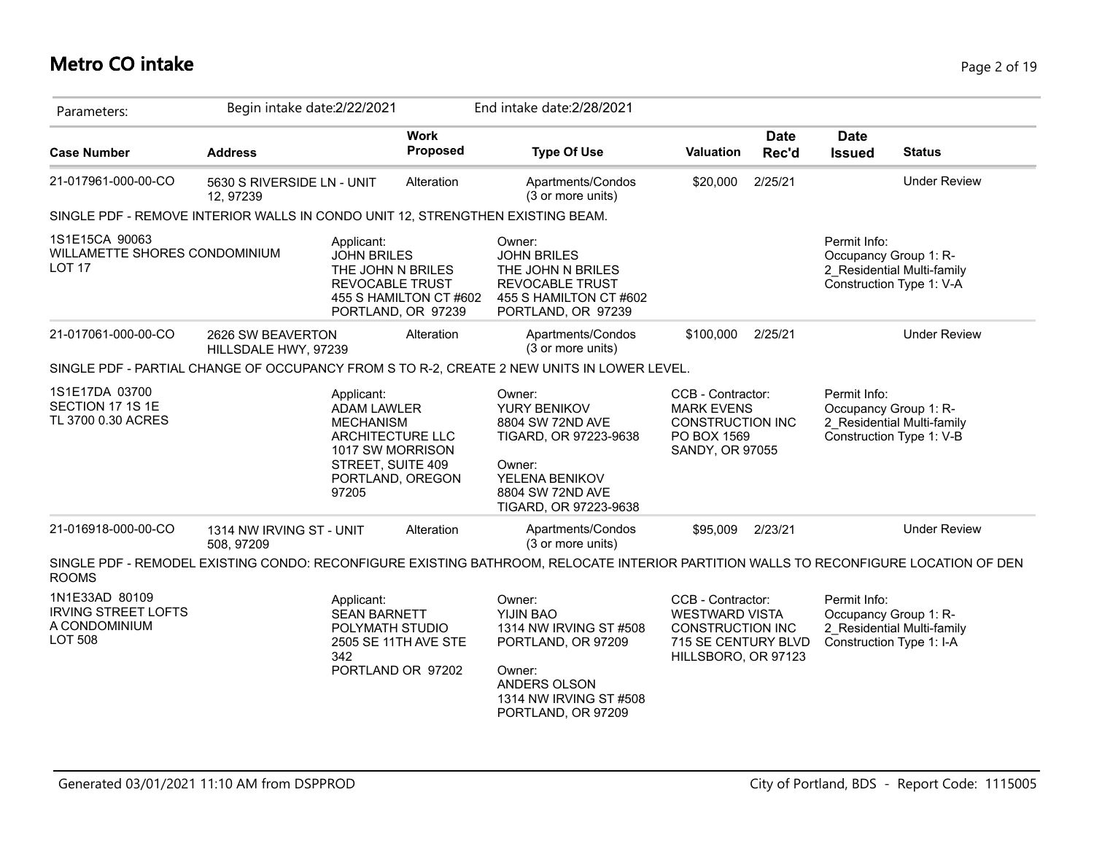# **Metro CO intake** Page 2 of 19

| Parameters:                                                                     | Begin intake date: 2/22/2021              |                                                                                                                                                |                                              | End intake date: 2/28/2021                                                                                                                    |                                                                                                              |                      |                                       |                                                        |
|---------------------------------------------------------------------------------|-------------------------------------------|------------------------------------------------------------------------------------------------------------------------------------------------|----------------------------------------------|-----------------------------------------------------------------------------------------------------------------------------------------------|--------------------------------------------------------------------------------------------------------------|----------------------|---------------------------------------|--------------------------------------------------------|
| <b>Case Number</b>                                                              | <b>Address</b>                            |                                                                                                                                                | <b>Work</b><br>Proposed                      | <b>Type Of Use</b>                                                                                                                            | Valuation                                                                                                    | <b>Date</b><br>Rec'd | <b>Date</b><br><b>Issued</b>          | <b>Status</b>                                          |
| 21-017961-000-00-CO                                                             | 5630 S RIVERSIDE LN - UNIT<br>12, 97239   |                                                                                                                                                | Alteration                                   | Apartments/Condos<br>(3 or more units)                                                                                                        | \$20,000                                                                                                     | 2/25/21              |                                       | <b>Under Review</b>                                    |
| SINGLE PDF - REMOVE INTERIOR WALLS IN CONDO UNIT 12, STRENGTHEN EXISTING BEAM.  |                                           |                                                                                                                                                |                                              |                                                                                                                                               |                                                                                                              |                      |                                       |                                                        |
| 1S1E15CA 90063<br>WILLAMETTE SHORES CONDOMINIUM<br><b>LOT 17</b>                |                                           | Applicant:<br><b>JOHN BRILES</b><br>THE JOHN N BRILES<br><b>REVOCABLE TRUST</b>                                                                | 455 S HAMILTON CT #602<br>PORTLAND, OR 97239 | Owner:<br><b>JOHN BRILES</b><br>THE JOHN N BRILES<br><b>REVOCABLE TRUST</b><br>455 S HAMILTON CT #602<br>PORTLAND, OR 97239                   |                                                                                                              |                      | Permit Info:<br>Occupancy Group 1: R- | 2 Residential Multi-family<br>Construction Type 1: V-A |
| 21-017061-000-00-CO                                                             | 2626 SW BEAVERTON<br>HILLSDALE HWY, 97239 |                                                                                                                                                | Alteration                                   | Apartments/Condos<br>(3 or more units)                                                                                                        | \$100,000                                                                                                    | 2/25/21              |                                       | <b>Under Review</b>                                    |
|                                                                                 |                                           |                                                                                                                                                |                                              | SINGLE PDF - PARTIAL CHANGE OF OCCUPANCY FROM S TO R-2, CREATE 2 NEW UNITS IN LOWER LEVEL.                                                    |                                                                                                              |                      |                                       |                                                        |
| 1S1E17DA 03700<br>SECTION 17 1S 1E<br>TL 3700 0.30 ACRES                        |                                           | Applicant:<br><b>ADAM LAWLER</b><br><b>MECHANISM</b><br>ARCHITECTURE LLC<br>1017 SW MORRISON<br>STREET, SUITE 409<br>PORTLAND, OREGON<br>97205 |                                              | Owner:<br>YURY BENIKOV<br>8804 SW 72ND AVE<br>TIGARD, OR 97223-9638<br>Owner:<br>YELENA BENIKOV<br>8804 SW 72ND AVE<br>TIGARD, OR 97223-9638  | CCB - Contractor:<br><b>MARK EVENS</b><br><b>CONSTRUCTION INC</b><br>PO BOX 1569<br>SANDY, OR 97055          |                      | Permit Info:<br>Occupancy Group 1: R- | 2 Residential Multi-family<br>Construction Type 1: V-B |
| 21-016918-000-00-CO                                                             | 1314 NW IRVING ST - UNIT<br>508, 97209    |                                                                                                                                                | Alteration                                   | Apartments/Condos<br>(3 or more units)                                                                                                        | \$95,009                                                                                                     | 2/23/21              |                                       | <b>Under Review</b>                                    |
| <b>ROOMS</b>                                                                    |                                           |                                                                                                                                                |                                              | SINGLE PDF - REMODEL EXISTING CONDO: RECONFIGURE EXISTING BATHROOM, RELOCATE INTERIOR PARTITION WALLS TO RECONFIGURE LOCATION OF DEN          |                                                                                                              |                      |                                       |                                                        |
| 1N1E33AD 80109<br><b>IRVING STREET LOFTS</b><br>A CONDOMINIUM<br><b>LOT 508</b> |                                           | Applicant:<br><b>SEAN BARNETT</b><br>POLYMATH STUDIO<br>342<br>PORTLAND OR 97202                                                               | 2505 SE 11TH AVE STE                         | Owner:<br>YIJIN BAO<br>1314 NW IRVING ST #508<br>PORTLAND, OR 97209<br>Owner:<br>ANDERS OLSON<br>1314 NW IRVING ST #508<br>PORTLAND, OR 97209 | CCB - Contractor:<br><b>WESTWARD VISTA</b><br>CONSTRUCTION INC<br>715 SE CENTURY BLVD<br>HILLSBORO, OR 97123 |                      | Permit Info:<br>Occupancy Group 1: R- | 2 Residential Multi-family<br>Construction Type 1: I-A |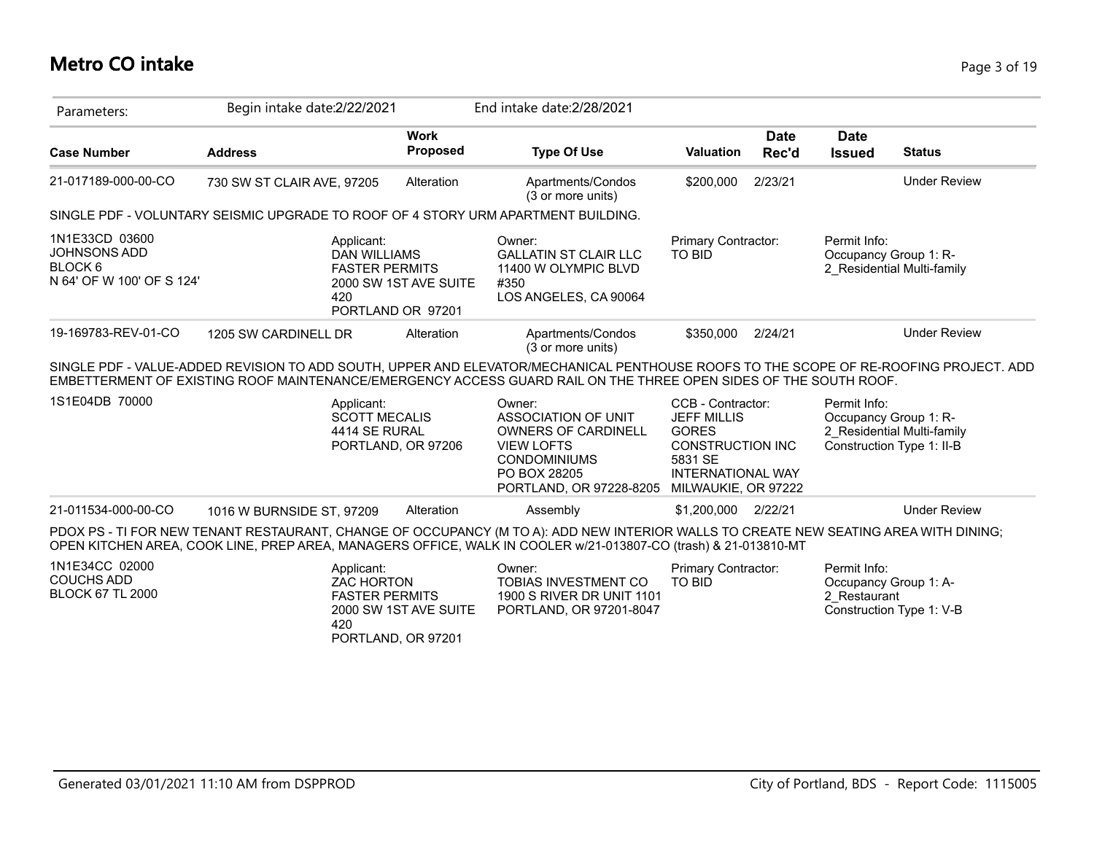| Parameters:                                                            | Begin intake date: 2/22/2021                                                                                                                                                                                                                              |                                            | End intake date: 2/28/2021                                                                                                                         |                                                                                                                                           |                      |                                       |                                                         |
|------------------------------------------------------------------------|-----------------------------------------------------------------------------------------------------------------------------------------------------------------------------------------------------------------------------------------------------------|--------------------------------------------|----------------------------------------------------------------------------------------------------------------------------------------------------|-------------------------------------------------------------------------------------------------------------------------------------------|----------------------|---------------------------------------|---------------------------------------------------------|
| <b>Case Number</b>                                                     | <b>Address</b>                                                                                                                                                                                                                                            | <b>Work</b><br><b>Proposed</b>             | <b>Type Of Use</b>                                                                                                                                 | <b>Valuation</b>                                                                                                                          | <b>Date</b><br>Rec'd | <b>Date</b><br><b>Issued</b>          | <b>Status</b>                                           |
| 21-017189-000-00-CO                                                    | 730 SW ST CLAIR AVE, 97205                                                                                                                                                                                                                                | Alteration                                 | Apartments/Condos<br>(3 or more units)                                                                                                             | \$200,000                                                                                                                                 | 2/23/21              |                                       | <b>Under Review</b>                                     |
|                                                                        | SINGLE PDF - VOLUNTARY SEISMIC UPGRADE TO ROOF OF 4 STORY URM APARTMENT BUILDING.                                                                                                                                                                         |                                            |                                                                                                                                                    |                                                                                                                                           |                      |                                       |                                                         |
| 1N1E33CD 03600<br>JOHNSONS ADD<br>BLOCK 6<br>N 64' OF W 100' OF S 124' | Applicant:<br><b>DAN WILLIAMS</b><br><b>FASTER PERMITS</b><br>420                                                                                                                                                                                         | 2000 SW 1ST AVE SUITE<br>PORTLAND OR 97201 | Owner:<br><b>GALLATIN ST CLAIR LLC</b><br>11400 W OLYMPIC BLVD<br>#350<br>LOS ANGELES, CA 90064                                                    | Primary Contractor:<br><b>TO BID</b>                                                                                                      |                      | Permit Info:<br>Occupancy Group 1: R- | 2 Residential Multi-family                              |
| 19-169783-REV-01-CO                                                    | 1205 SW CARDINELL DR                                                                                                                                                                                                                                      | Alteration                                 | Apartments/Condos<br>(3 or more units)                                                                                                             | \$350.000                                                                                                                                 | 2/24/21              |                                       | <b>Under Review</b>                                     |
|                                                                        | SINGLE PDF - VALUE-ADDED REVISION TO ADD SOUTH, UPPER AND ELEVATOR/MECHANICAL PENTHOUSE ROOFS TO THE SCOPE OF RE-ROOFING PROJECT. ADD<br>EMBETTERMENT OF EXISTING ROOF MAINTENANCE/EMERGENCY ACCESS GUARD RAIL ON THE THREE OPEN SIDES OF THE SOUTH ROOF. |                                            |                                                                                                                                                    |                                                                                                                                           |                      |                                       |                                                         |
|                                                                        |                                                                                                                                                                                                                                                           |                                            |                                                                                                                                                    |                                                                                                                                           |                      |                                       |                                                         |
|                                                                        | Applicant:<br><b>SCOTT MECALIS</b><br>4414 SE RURAL                                                                                                                                                                                                       | PORTLAND, OR 97206                         | Owner:<br><b>ASSOCIATION OF UNIT</b><br>OWNERS OF CARDINELL<br><b>VIEW LOFTS</b><br><b>CONDOMINIUMS</b><br>PO BOX 28205<br>PORTLAND, OR 97228-8205 | CCB - Contractor:<br><b>JEFF MILLIS</b><br><b>GORES</b><br>CONSTRUCTION INC<br>5831 SE<br><b>INTERNATIONAL WAY</b><br>MILWAUKIE, OR 97222 |                      | Permit Info:<br>Occupancy Group 1: R- | 2 Residential Multi-family<br>Construction Type 1: II-B |
| 1S1E04DB 70000<br>21-011534-000-00-CO                                  | 1016 W BURNSIDE ST, 97209                                                                                                                                                                                                                                 | Alteration                                 | Assembly                                                                                                                                           | \$1,200,000                                                                                                                               | 2/22/21              |                                       | <b>Under Review</b>                                     |
|                                                                        | PDOX PS - TI FOR NEW TENANT RESTAURANT, CHANGE OF OCCUPANCY (M TO A): ADD NEW INTERIOR WALLS TO CREATE NEW SEATING AREA WITH DINING;<br>OPEN KITCHEN AREA, COOK LINE, PREP AREA, MANAGERS OFFICE, WALK IN COOLER w/21-013807-CO (trash) & 21-013810-MT    |                                            |                                                                                                                                                    |                                                                                                                                           |                      |                                       |                                                         |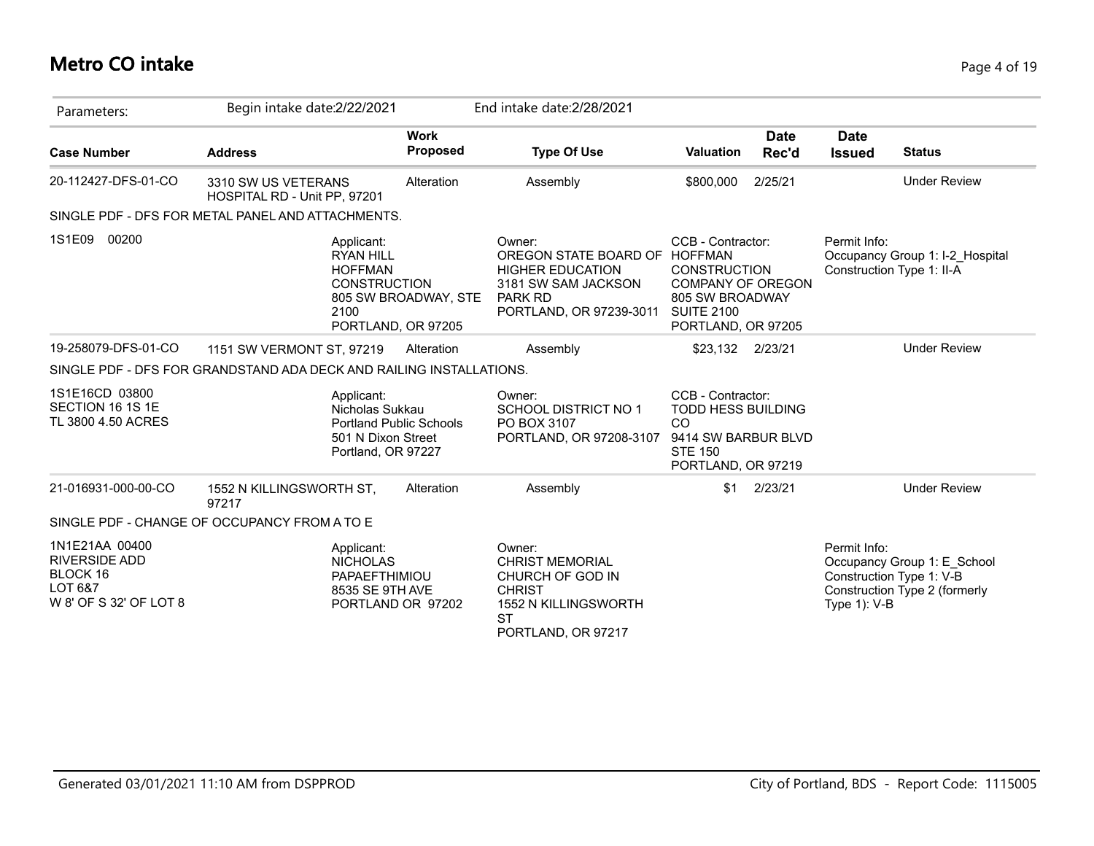# **Metro CO intake** Page 4 of 19

| Parameters:                                                                             | Begin intake date:2/22/2021                                                                                 |                                | End intake date: 2/28/2021                                                                                                             |                                                                                                                                    |                      |                                                             |                                                              |
|-----------------------------------------------------------------------------------------|-------------------------------------------------------------------------------------------------------------|--------------------------------|----------------------------------------------------------------------------------------------------------------------------------------|------------------------------------------------------------------------------------------------------------------------------------|----------------------|-------------------------------------------------------------|--------------------------------------------------------------|
| <b>Case Number</b>                                                                      | <b>Address</b>                                                                                              | <b>Work</b><br><b>Proposed</b> | <b>Type Of Use</b>                                                                                                                     | Valuation                                                                                                                          | <b>Date</b><br>Rec'd | <b>Date</b><br><b>Issued</b>                                | <b>Status</b>                                                |
| 20-112427-DFS-01-CO                                                                     | 3310 SW US VETERANS<br>HOSPITAL RD - Unit PP, 97201                                                         | Alteration                     | Assembly                                                                                                                               | \$800,000                                                                                                                          | 2/25/21              |                                                             | <b>Under Review</b>                                          |
|                                                                                         | SINGLE PDF - DFS FOR METAL PANEL AND ATTACHMENTS.                                                           |                                |                                                                                                                                        |                                                                                                                                    |                      |                                                             |                                                              |
| 1S1E09<br>00200                                                                         | Applicant:<br><b>RYAN HILL</b><br><b>HOFFMAN</b><br><b>CONSTRUCTION</b><br>2100<br>PORTLAND, OR 97205       | 805 SW BROADWAY, STE           | Owner:<br>OREGON STATE BOARD OF HOFFMAN<br><b>HIGHER EDUCATION</b><br>3181 SW SAM JACKSON<br><b>PARK RD</b><br>PORTLAND, OR 97239-3011 | CCB - Contractor:<br><b>CONSTRUCTION</b><br><b>COMPANY OF OREGON</b><br>805 SW BROADWAY<br><b>SUITE 2100</b><br>PORTLAND, OR 97205 |                      | Permit Info:<br>Construction Type 1: II-A                   | Occupancy Group 1: I-2_Hospital                              |
| 19-258079-DFS-01-CO                                                                     | 1151 SW VERMONT ST, 97219                                                                                   | Alteration                     | Assembly                                                                                                                               | \$23,132 2/23/21                                                                                                                   |                      |                                                             | <b>Under Review</b>                                          |
|                                                                                         | SINGLE PDF - DFS FOR GRANDSTAND ADA DECK AND RAILING INSTALLATIONS.                                         |                                |                                                                                                                                        |                                                                                                                                    |                      |                                                             |                                                              |
| 1S1E16CD 03800<br>SECTION 16 1S 1E<br>TL 3800 4.50 ACRES                                | Applicant:<br>Nicholas Sukkau<br><b>Portland Public Schools</b><br>501 N Dixon Street<br>Portland, OR 97227 |                                | Owner:<br><b>SCHOOL DISTRICT NO 1</b><br>PO BOX 3107<br>PORTLAND, OR 97208-3107                                                        | CCB - Contractor:<br><b>TODD HESS BUILDING</b><br>CO<br>9414 SW BARBUR BLVD<br><b>STE 150</b><br>PORTLAND, OR 97219                |                      |                                                             |                                                              |
| 21-016931-000-00-CO                                                                     | 1552 N KILLINGSWORTH ST,<br>97217                                                                           | Alteration                     | Assembly                                                                                                                               | \$1                                                                                                                                | 2/23/21              |                                                             | <b>Under Review</b>                                          |
|                                                                                         | SINGLE PDF - CHANGE OF OCCUPANCY FROM A TO E                                                                |                                |                                                                                                                                        |                                                                                                                                    |                      |                                                             |                                                              |
| 1N1E21AA 00400<br><b>RIVERSIDE ADD</b><br>BLOCK 16<br>LOT 6&7<br>W 8' OF S 32' OF LOT 8 | Applicant:<br><b>NICHOLAS</b><br>PAPAEFTHIMIOU<br>8535 SE 9TH AVE<br>PORTLAND OR 97202                      |                                | Owner:<br><b>CHRIST MEMORIAL</b><br>CHURCH OF GOD IN<br><b>CHRIST</b><br>1552 N KILLINGSWORTH<br><b>ST</b><br>PORTLAND, OR 97217       |                                                                                                                                    |                      | Permit Info:<br>Construction Type 1: V-B<br>Type $1$ ): V-B | Occupancy Group 1: E School<br>Construction Type 2 (formerly |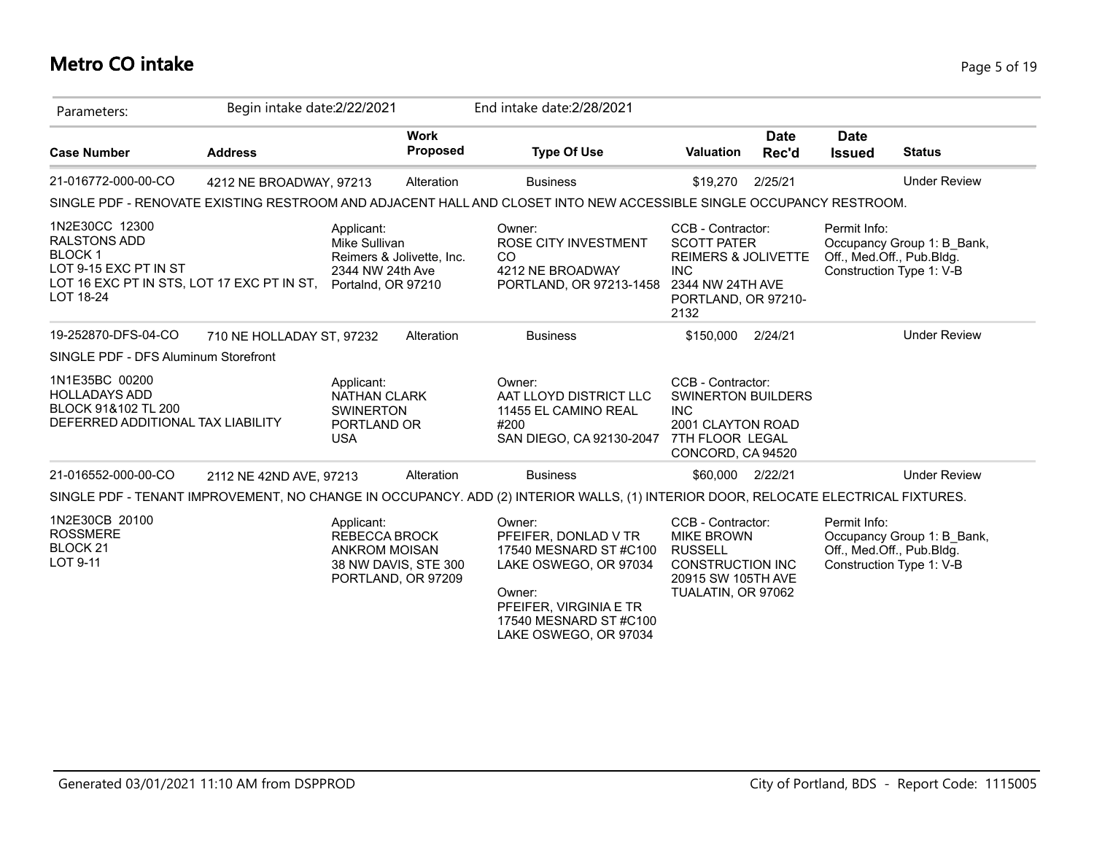# **Metro CO intake** Page 5 of 19

| Parameters:                                                                                                                                | Begin intake date: 2/22/2021 |                                                                                    |                                            | End intake date: 2/28/2021                                                                                                                                              |                                                                                                                                            |               |                              |                                                                                     |
|--------------------------------------------------------------------------------------------------------------------------------------------|------------------------------|------------------------------------------------------------------------------------|--------------------------------------------|-------------------------------------------------------------------------------------------------------------------------------------------------------------------------|--------------------------------------------------------------------------------------------------------------------------------------------|---------------|------------------------------|-------------------------------------------------------------------------------------|
| <b>Case Number</b>                                                                                                                         | <b>Address</b>               |                                                                                    | <b>Work</b><br><b>Proposed</b>             | <b>Type Of Use</b>                                                                                                                                                      | <b>Valuation</b>                                                                                                                           | Date<br>Rec'd | <b>Date</b><br><b>Issued</b> | <b>Status</b>                                                                       |
| 21-016772-000-00-CO                                                                                                                        | 4212 NE BROADWAY, 97213      |                                                                                    | Alteration                                 | <b>Business</b>                                                                                                                                                         | \$19,270                                                                                                                                   | 2/25/21       |                              | <b>Under Review</b>                                                                 |
|                                                                                                                                            |                              |                                                                                    |                                            | SINGLE PDF - RENOVATE EXISTING RESTROOM AND ADJACENT HALL AND CLOSET INTO NEW ACCESSIBLE SINGLE OCCUPANCY RESTROOM.                                                     |                                                                                                                                            |               |                              |                                                                                     |
| 1N2E30CC 12300<br><b>RALSTONS ADD</b><br><b>BLOCK1</b><br>LOT 9-15 EXC PT IN ST<br>LOT 16 EXC PT IN STS, LOT 17 EXC PT IN ST,<br>LOT 18-24 |                              | Applicant:<br>Mike Sullivan<br>2344 NW 24th Ave<br>Portalnd, OR 97210              | Reimers & Jolivette, Inc.                  | Owner:<br><b>ROSE CITY INVESTMENT</b><br>CO.<br>4212 NE BROADWAY<br>PORTLAND, OR 97213-1458                                                                             | CCB - Contractor:<br><b>SCOTT PATER</b><br><b>REIMERS &amp; JOLIVETTE</b><br><b>INC</b><br>2344 NW 24TH AVE<br>PORTLAND, OR 97210-<br>2132 |               | Permit Info:                 | Occupancy Group 1: B_Bank,<br>Off., Med.Off., Pub.Bldg.<br>Construction Type 1: V-B |
| 19-252870-DFS-04-CO                                                                                                                        | 710 NE HOLLADAY ST, 97232    |                                                                                    | Alteration                                 | <b>Business</b>                                                                                                                                                         | \$150,000                                                                                                                                  | 2/24/21       |                              | <b>Under Review</b>                                                                 |
| SINGLE PDF - DFS Aluminum Storefront                                                                                                       |                              |                                                                                    |                                            |                                                                                                                                                                         |                                                                                                                                            |               |                              |                                                                                     |
| 1N1E35BC 00200<br><b>HOLLADAYS ADD</b><br>BLOCK 91&102 TL 200<br>DEFERRED ADDITIONAL TAX LIABILITY                                         |                              | Applicant:<br><b>NATHAN CLARK</b><br><b>SWINERTON</b><br>PORTLAND OR<br><b>USA</b> |                                            | Owner:<br>AAT LLOYD DISTRICT LLC<br>11455 EL CAMINO REAL<br>#200<br>SAN DIEGO, CA 92130-2047                                                                            | CCB - Contractor:<br><b>SWINERTON BUILDERS</b><br><b>INC</b><br>2001 CLAYTON ROAD<br>7TH FLOOR LEGAL<br>CONCORD, CA 94520                  |               |                              |                                                                                     |
| 21-016552-000-00-CO                                                                                                                        | 2112 NE 42ND AVE, 97213      |                                                                                    | Alteration                                 | <b>Business</b>                                                                                                                                                         | \$60,000 2/22/21                                                                                                                           |               |                              | <b>Under Review</b>                                                                 |
|                                                                                                                                            |                              |                                                                                    |                                            | SINGLE PDF - TENANT IMPROVEMENT, NO CHANGE IN OCCUPANCY. ADD (2) INTERIOR WALLS, (1) INTERIOR DOOR, RELOCATE ELECTRICAL FIXTURES.                                       |                                                                                                                                            |               |                              |                                                                                     |
| 1N2E30CB 20100<br><b>ROSSMERE</b><br>BLOCK <sub>21</sub><br>LOT 9-11                                                                       |                              | Applicant:<br>REBECCA BROCK<br><b>ANKROM MOISAN</b>                                | 38 NW DAVIS, STE 300<br>PORTLAND, OR 97209 | Owner:<br>PFEIFER, DONLAD V TR<br>17540 MESNARD ST#C100<br>LAKE OSWEGO, OR 97034<br>Owner:<br>PFEIFER, VIRGINIA E TR<br>17540 MESNARD ST #C100<br>LAKE OSWEGO, OR 97034 | CCB - Contractor:<br><b>MIKE BROWN</b><br><b>RUSSELL</b><br><b>CONSTRUCTION INC</b><br>20915 SW 105TH AVE<br>TUALATIN, OR 97062            |               | Permit Info:                 | Occupancy Group 1: B Bank,<br>Off., Med.Off., Pub.Bldg.<br>Construction Type 1: V-B |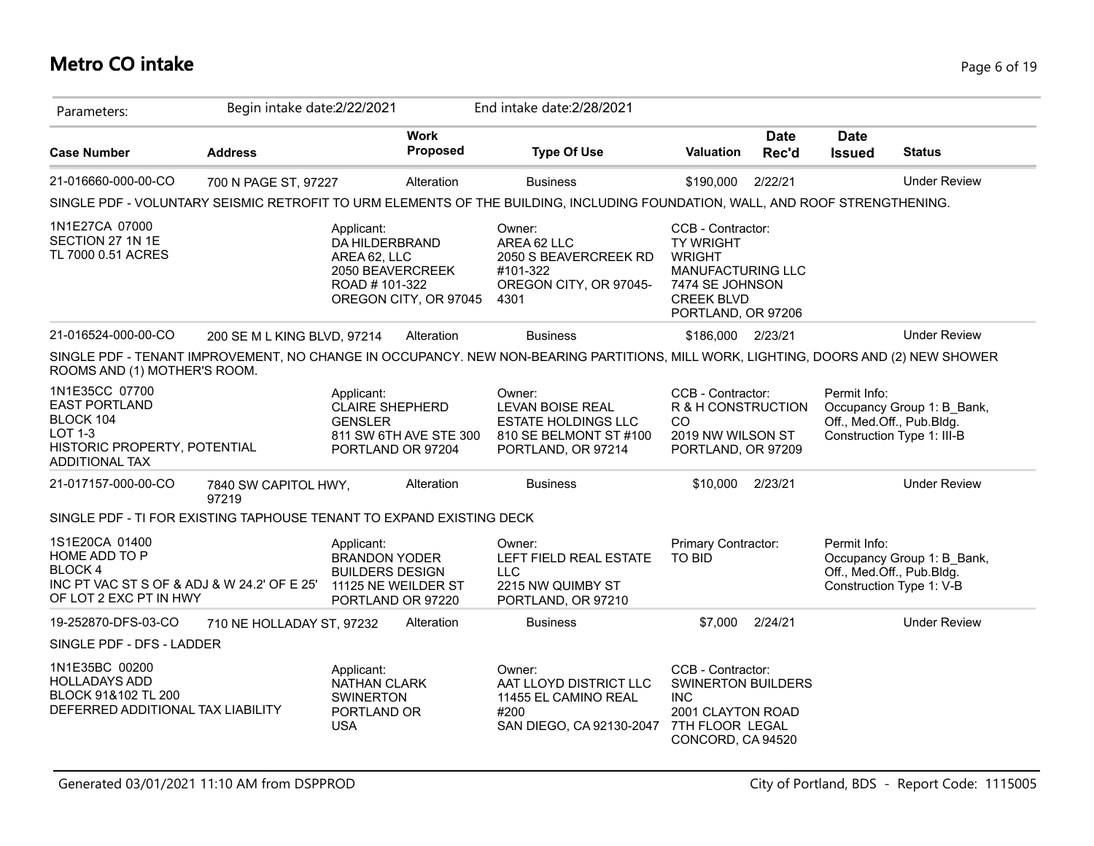# **Metro CO intake** Page 6 of 19

| Parameters:                                                                                                                    | Begin intake date: 2/22/2021  |                                                                                                            |                         | End intake date: 2/28/2021                                                                                                         |                                                                                                                                           |                      |                                           |                                                          |
|--------------------------------------------------------------------------------------------------------------------------------|-------------------------------|------------------------------------------------------------------------------------------------------------|-------------------------|------------------------------------------------------------------------------------------------------------------------------------|-------------------------------------------------------------------------------------------------------------------------------------------|----------------------|-------------------------------------------|----------------------------------------------------------|
| <b>Case Number</b>                                                                                                             | <b>Address</b>                |                                                                                                            | <b>Work</b><br>Proposed | <b>Type Of Use</b>                                                                                                                 | <b>Valuation</b>                                                                                                                          | <b>Date</b><br>Rec'd | <b>Date</b><br><b>Issued</b>              | <b>Status</b>                                            |
| 21-016660-000-00-CO                                                                                                            | 700 N PAGE ST, 97227          |                                                                                                            | Alteration              | <b>Business</b>                                                                                                                    | \$190,000                                                                                                                                 | 2/22/21              |                                           | <b>Under Review</b>                                      |
|                                                                                                                                |                               |                                                                                                            |                         | SINGLE PDF - VOLUNTARY SEISMIC RETROFIT TO URM ELEMENTS OF THE BUILDING, INCLUDING FOUNDATION, WALL, AND ROOF STRENGTHENING.       |                                                                                                                                           |                      |                                           |                                                          |
| 1N1E27CA 07000<br>SECTION 27 1N 1E<br>TL 7000 0.51 ACRES                                                                       |                               | Applicant:<br>DA HILDERBRAND<br>AREA 62, LLC<br>2050 BEAVERCREEK<br>ROAD #101-322<br>OREGON CITY, OR 97045 |                         | Owner:<br>AREA 62 LLC<br>2050 S BEAVERCREEK RD<br>#101-322<br>OREGON CITY, OR 97045-<br>4301                                       | CCB - Contractor:<br><b>TY WRIGHT</b><br><b>WRIGHT</b><br>MANUFACTURING LLC<br>7474 SE JOHNSON<br><b>CREEK BLVD</b><br>PORTLAND, OR 97206 |                      |                                           |                                                          |
| 21-016524-000-00-CO                                                                                                            | 200 SE M L KING BLVD, 97214   |                                                                                                            | Alteration              | <b>Business</b>                                                                                                                    | \$186,000 2/23/21                                                                                                                         |                      |                                           | <b>Under Review</b>                                      |
| ROOMS AND (1) MOTHER'S ROOM.                                                                                                   |                               |                                                                                                            |                         | SINGLE PDF - TENANT IMPROVEMENT, NO CHANGE IN OCCUPANCY. NEW NON-BEARING PARTITIONS, MILL WORK, LIGHTING, DOORS AND (2) NEW SHOWER |                                                                                                                                           |                      |                                           |                                                          |
| 1N1E35CC 07700<br><b>EAST PORTLAND</b><br>BLOCK 104<br><b>LOT 1-3</b><br>HISTORIC PROPERTY, POTENTIAL<br><b>ADDITIONAL TAX</b> |                               | Applicant:<br><b>CLAIRE SHEPHERD</b><br><b>GENSLER</b><br>811 SW 6TH AVE STE 300<br>PORTLAND OR 97204      |                         | Owner:<br><b>LEVAN BOISE REAL</b><br><b>ESTATE HOLDINGS LLC</b><br>810 SE BELMONT ST #100<br>PORTLAND, OR 97214                    | CCB - Contractor:<br>R & H CONSTRUCTION<br><sub>CO</sub><br>2019 NW WILSON ST<br>PORTLAND, OR 97209                                       |                      | Permit Info:<br>Off., Med.Off., Pub.Bldg. | Occupancy Group 1: B Bank,<br>Construction Type 1: III-B |
| 21-017157-000-00-CO                                                                                                            | 7840 SW CAPITOL HWY,<br>97219 |                                                                                                            | Alteration              | <b>Business</b>                                                                                                                    | \$10,000                                                                                                                                  | 2/23/21              |                                           | <b>Under Review</b>                                      |
| SINGLE PDF - TI FOR EXISTING TAPHOUSE TENANT TO EXPAND EXISTING DECK                                                           |                               |                                                                                                            |                         |                                                                                                                                    |                                                                                                                                           |                      |                                           |                                                          |
| 1S1E20CA 01400<br>HOME ADD TO P<br><b>BLOCK4</b><br>INC PT VAC ST S OF & ADJ & W 24.2' OF E 25'<br>OF LOT 2 EXC PT IN HWY      |                               | Applicant:<br><b>BRANDON YODER</b><br><b>BUILDERS DESIGN</b><br>11125 NE WEILDER ST<br>PORTLAND OR 97220   |                         | Owner:<br>LEFT FIELD REAL ESTATE<br><b>LLC</b><br>2215 NW QUIMBY ST<br>PORTLAND, OR 97210                                          | Primary Contractor:<br><b>TO BID</b>                                                                                                      |                      | Permit Info:<br>Off., Med.Off., Pub.Bldg. | Occupancy Group 1: B Bank,<br>Construction Type 1: V-B   |
| 19-252870-DFS-03-CO                                                                                                            | 710 NE HOLLADAY ST, 97232     |                                                                                                            | Alteration              | <b>Business</b>                                                                                                                    | \$7,000                                                                                                                                   | 2/24/21              |                                           | <b>Under Review</b>                                      |
| SINGLE PDF - DFS - LADDER                                                                                                      |                               |                                                                                                            |                         |                                                                                                                                    |                                                                                                                                           |                      |                                           |                                                          |
| 1N1E35BC 00200<br><b>HOLLADAYS ADD</b><br>BLOCK 91&102 TL 200<br>DEFERRED ADDITIONAL TAX LIABILITY                             |                               | Applicant:<br><b>NATHAN CLARK</b><br><b>SWINERTON</b><br>PORTLAND OR<br><b>USA</b>                         |                         | Owner:<br>AAT LLOYD DISTRICT LLC<br>11455 EL CAMINO REAL<br>#200<br>SAN DIEGO, CA 92130-2047                                       | CCB - Contractor:<br><b>SWINERTON BUILDERS</b><br><b>INC</b><br>2001 CLAYTON ROAD<br>7TH FLOOR LEGAL<br>CONCORD, CA 94520                 |                      |                                           |                                                          |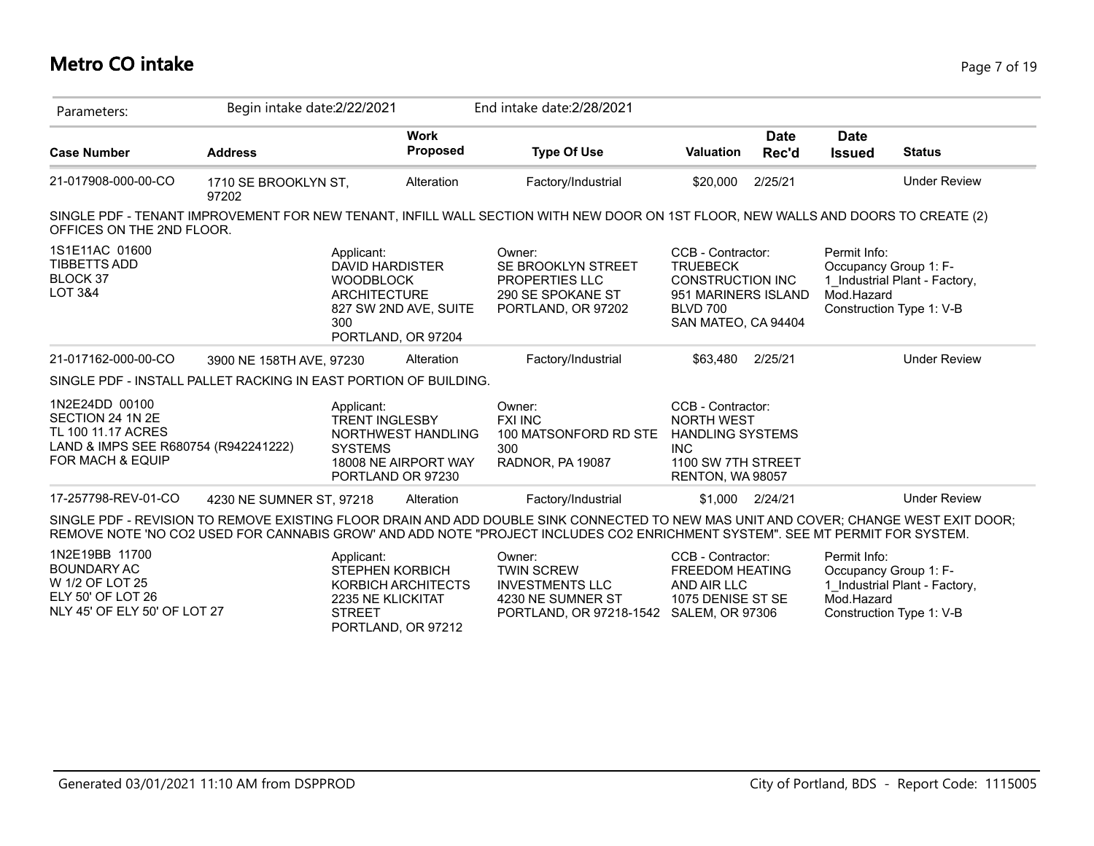# **Metro CO intake** Page 7 of 19

| Parameters:                                                                                                          | Begin intake date:2/22/2021   |                                                                                                                                       |                                | End intake date: 2/28/2021                                                                                                                                                                                                                                           |                                                                                                                                  |                      |                                                     |                                                           |
|----------------------------------------------------------------------------------------------------------------------|-------------------------------|---------------------------------------------------------------------------------------------------------------------------------------|--------------------------------|----------------------------------------------------------------------------------------------------------------------------------------------------------------------------------------------------------------------------------------------------------------------|----------------------------------------------------------------------------------------------------------------------------------|----------------------|-----------------------------------------------------|-----------------------------------------------------------|
| <b>Case Number</b>                                                                                                   | <b>Address</b>                |                                                                                                                                       | <b>Work</b><br><b>Proposed</b> | <b>Type Of Use</b>                                                                                                                                                                                                                                                   | <b>Valuation</b>                                                                                                                 | <b>Date</b><br>Rec'd | <b>Date</b><br><b>Issued</b>                        | <b>Status</b>                                             |
| 21-017908-000-00-CO                                                                                                  | 1710 SE BROOKLYN ST,<br>97202 |                                                                                                                                       | Alteration                     | Factory/Industrial                                                                                                                                                                                                                                                   | \$20,000                                                                                                                         | 2/25/21              |                                                     | <b>Under Review</b>                                       |
| OFFICES ON THE 2ND FLOOR.                                                                                            |                               |                                                                                                                                       |                                | SINGLE PDF - TENANT IMPROVEMENT FOR NEW TENANT, INFILL WALL SECTION WITH NEW DOOR ON 1ST FLOOR, NEW WALLS AND DOORS TO CREATE (2)                                                                                                                                    |                                                                                                                                  |                      |                                                     |                                                           |
| 1S1E11AC 01600<br><b>TIBBETTS ADD</b><br><b>BLOCK 37</b><br>LOT 3&4                                                  |                               | Applicant:<br><b>DAVID HARDISTER</b><br><b>WOODBLOCK</b><br><b>ARCHITECTURE</b><br>827 SW 2ND AVE, SUITE<br>300<br>PORTLAND, OR 97204 |                                | Owner:<br>SE BROOKLYN STREET<br>PROPERTIES LLC<br>290 SE SPOKANE ST<br>PORTLAND, OR 97202                                                                                                                                                                            | CCB - Contractor:<br><b>TRUEBECK</b><br><b>CONSTRUCTION INC</b><br>951 MARINERS ISLAND<br><b>BLVD 700</b><br>SAN MATEO, CA 94404 |                      | Permit Info:<br>Occupancy Group 1: F-<br>Mod.Hazard | 1 Industrial Plant - Factory,<br>Construction Type 1: V-B |
| 21-017162-000-00-CO                                                                                                  | 3900 NE 158TH AVE, 97230      |                                                                                                                                       | Alteration                     | Factory/Industrial                                                                                                                                                                                                                                                   | \$63,480                                                                                                                         | 2/25/21              |                                                     | <b>Under Review</b>                                       |
| SINGLE PDF - INSTALL PALLET RACKING IN EAST PORTION OF BUILDING.                                                     |                               |                                                                                                                                       |                                |                                                                                                                                                                                                                                                                      |                                                                                                                                  |                      |                                                     |                                                           |
| 1N2E24DD 00100<br>SECTION 24 1N 2E<br>TL 100 11.17 ACRES<br>LAND & IMPS SEE R680754 (R942241222)<br>FOR MACH & EQUIP |                               | Applicant:<br><b>TRENT INGLESBY</b><br><b>SYSTEMS</b><br>18008 NE AIRPORT WAY<br>PORTLAND OR 97230                                    | NORTHWEST HANDLING             | Owner:<br><b>FXI INC</b><br>100 MATSONFORD RD STE<br>300<br>RADNOR, PA 19087                                                                                                                                                                                         | CCB - Contractor:<br><b>NORTH WEST</b><br><b>HANDLING SYSTEMS</b><br><b>INC</b><br>1100 SW 7TH STREET<br>RENTON, WA 98057        |                      |                                                     |                                                           |
| 17-257798-REV-01-CO                                                                                                  | 4230 NE SUMNER ST, 97218      |                                                                                                                                       | Alteration                     | Factory/Industrial                                                                                                                                                                                                                                                   | \$1,000                                                                                                                          | 2/24/21              |                                                     | <b>Under Review</b>                                       |
|                                                                                                                      |                               |                                                                                                                                       |                                | SINGLE PDF - REVISION TO REMOVE EXISTING FLOOR DRAIN AND ADD DOUBLE SINK CONNECTED TO NEW MAS UNIT AND COVER; CHANGE WEST EXIT DOOR;<br>REMOVE NOTE 'NO CO2 USED FOR CANNABIS GROW' AND ADD NOTE "PROJECT INCLUDES CO2 ENRICHMENT SYSTEM". SEE MT PERMIT FOR SYSTEM. |                                                                                                                                  |                      |                                                     |                                                           |
| 1N2E19BB 11700<br><b>BOUNDARY AC</b><br>W 1/2 OF LOT 25<br>ELY 50' OF LOT 26<br>NLY 45' OF ELY 50' OF LOT 27         |                               | Applicant:<br><b>STEPHEN KORBICH</b><br>KORBICH ARCHITECTS<br>2235 NE KLICKITAT<br><b>STREET</b><br>PORTLAND, OR 97212                |                                | Owner:<br><b>TWIN SCREW</b><br><b>INVESTMENTS LLC</b><br>4230 NE SUMNER ST<br>PORTLAND, OR 97218-1542                                                                                                                                                                | CCB - Contractor:<br><b>FREEDOM HEATING</b><br>AND AIR LLC<br>1075 DENISE ST SE<br><b>SALEM, OR 97306</b>                        |                      | Permit Info:<br>Occupancy Group 1: F-<br>Mod.Hazard | 1 Industrial Plant - Factory,<br>Construction Type 1: V-B |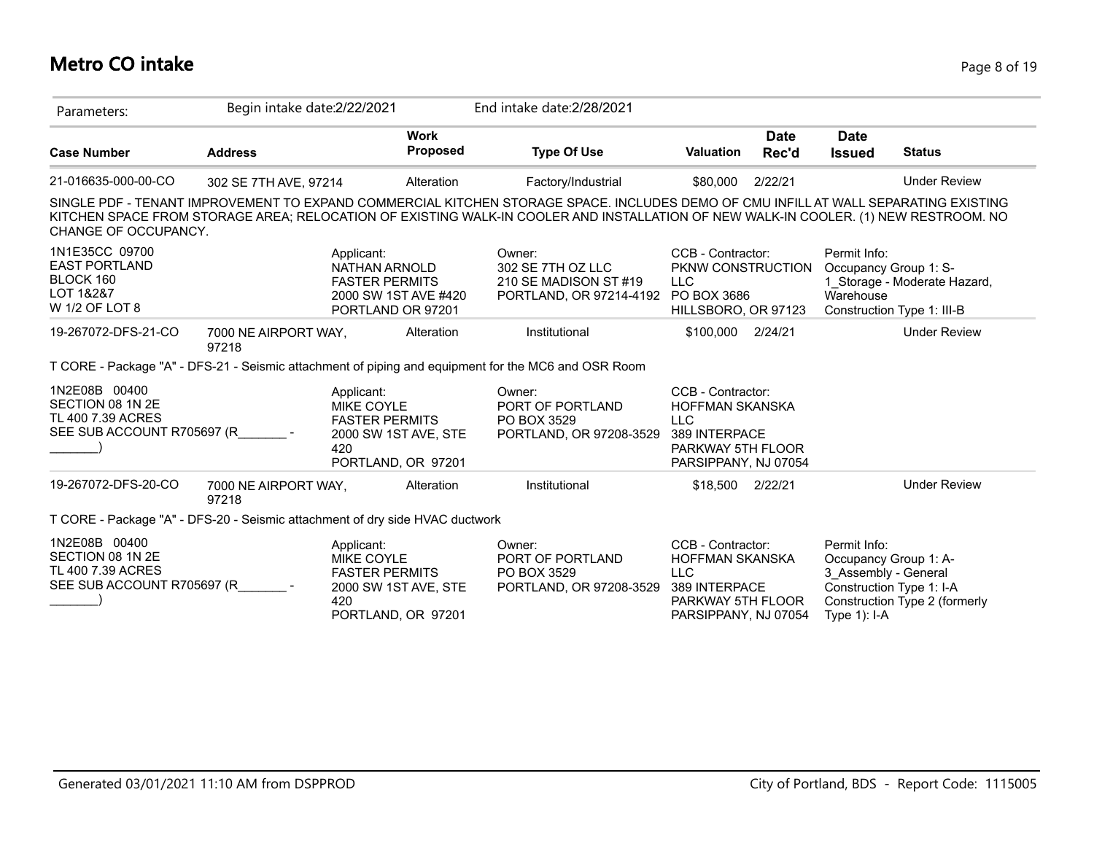### **Metro CO intake** Page 8 of 19

| Parameters:                                                                          | Begin intake date:2/22/2021   |                                                                                                               |                         | End intake date: 2/28/2021                                                                                                                                                                                                                                                 |                                                                                                                         |                      |                                                                                                           |                                                            |
|--------------------------------------------------------------------------------------|-------------------------------|---------------------------------------------------------------------------------------------------------------|-------------------------|----------------------------------------------------------------------------------------------------------------------------------------------------------------------------------------------------------------------------------------------------------------------------|-------------------------------------------------------------------------------------------------------------------------|----------------------|-----------------------------------------------------------------------------------------------------------|------------------------------------------------------------|
| <b>Case Number</b>                                                                   | <b>Address</b>                |                                                                                                               | <b>Work</b><br>Proposed | <b>Type Of Use</b>                                                                                                                                                                                                                                                         | <b>Valuation</b>                                                                                                        | <b>Date</b><br>Rec'd | <b>Date</b><br><b>Issued</b>                                                                              | <b>Status</b>                                              |
| 21-016635-000-00-CO                                                                  | 302 SE 7TH AVE, 97214         |                                                                                                               | Alteration              | Factory/Industrial                                                                                                                                                                                                                                                         | \$80,000                                                                                                                | 2/22/21              |                                                                                                           | <b>Under Review</b>                                        |
| CHANGE OF OCCUPANCY.                                                                 |                               |                                                                                                               |                         | SINGLE PDF - TENANT IMPROVEMENT TO EXPAND COMMERCIAL KITCHEN STORAGE SPACE. INCLUDES DEMO OF CMU INFILL AT WALL SEPARATING EXISTING<br>KITCHEN SPACE FROM STORAGE AREA; RELOCATION OF EXISTING WALK-IN COOLER AND INSTALLATION OF NEW WALK-IN COOLER. (1) NEW RESTROOM. NO |                                                                                                                         |                      |                                                                                                           |                                                            |
| 1N1E35CC 09700<br><b>EAST PORTLAND</b><br>BLOCK 160<br>LOT 1&2&7<br>W 1/2 OF LOT 8   |                               | Applicant:<br>NATHAN ARNOLD<br><b>FASTER PERMITS</b><br>2000 SW 1ST AVE #420<br>PORTLAND OR 97201             |                         | Owner:<br>302 SE 7TH OZ LLC<br>210 SE MADISON ST #19<br>PORTLAND, OR 97214-4192                                                                                                                                                                                            | CCB - Contractor:<br>PKNW CONSTRUCTION<br><b>LLC</b><br>PO BOX 3686<br>HILLSBORO, OR 97123                              |                      | Permit Info:<br>Occupancy Group 1: S-<br>Warehouse                                                        | 1_Storage - Moderate Hazard,<br>Construction Type 1: III-B |
| 19-267072-DFS-21-CO                                                                  | 7000 NE AIRPORT WAY,<br>97218 |                                                                                                               | Alteration              | Institutional                                                                                                                                                                                                                                                              | \$100,000 2/24/21                                                                                                       |                      |                                                                                                           | <b>Under Review</b>                                        |
|                                                                                      |                               |                                                                                                               |                         | T CORE - Package "A" - DFS-21 - Seismic attachment of piping and equipment for the MC6 and OSR Room                                                                                                                                                                        |                                                                                                                         |                      |                                                                                                           |                                                            |
| 1N2E08B 00400<br>SECTION 08 1N 2E<br>TL 400 7.39 ACRES<br>SEE SUB ACCOUNT R705697 (R |                               | Applicant:<br><b>MIKE COYLE</b><br><b>FASTER PERMITS</b><br>2000 SW 1ST AVE, STE<br>420<br>PORTLAND, OR 97201 |                         | Owner:<br>PORT OF PORTLAND<br>PO BOX 3529<br>PORTLAND, OR 97208-3529                                                                                                                                                                                                       | CCB - Contractor:<br><b>HOFFMAN SKANSKA</b><br><b>LLC</b><br>389 INTERPACE<br>PARKWAY 5TH FLOOR<br>PARSIPPANY, NJ 07054 |                      |                                                                                                           |                                                            |
| 19-267072-DFS-20-CO                                                                  | 7000 NE AIRPORT WAY,<br>97218 |                                                                                                               | Alteration              | Institutional                                                                                                                                                                                                                                                              | \$18,500                                                                                                                | 2/22/21              |                                                                                                           | <b>Under Review</b>                                        |
| T CORE - Package "A" - DFS-20 - Seismic attachment of dry side HVAC ductwork         |                               |                                                                                                               |                         |                                                                                                                                                                                                                                                                            |                                                                                                                         |                      |                                                                                                           |                                                            |
| 1N2E08B 00400<br>SECTION 08 1N 2E<br>TL 400 7.39 ACRES<br>SEE SUB ACCOUNT R705697 (R |                               | Applicant:<br>MIKE COYLE<br><b>FASTER PERMITS</b><br>2000 SW 1ST AVE, STE<br>420<br>PORTLAND, OR 97201        |                         | Owner:<br>PORT OF PORTLAND<br>PO BOX 3529<br>PORTLAND, OR 97208-3529                                                                                                                                                                                                       | CCB - Contractor:<br><b>HOFFMAN SKANSKA</b><br><b>LLC</b><br>389 INTERPACE<br>PARKWAY 5TH FLOOR<br>PARSIPPANY, NJ 07054 |                      | Permit Info:<br>Occupancy Group 1: A-<br>3 Assembly - General<br>Construction Type 1: I-A<br>Type 1): I-A | Construction Type 2 (formerly                              |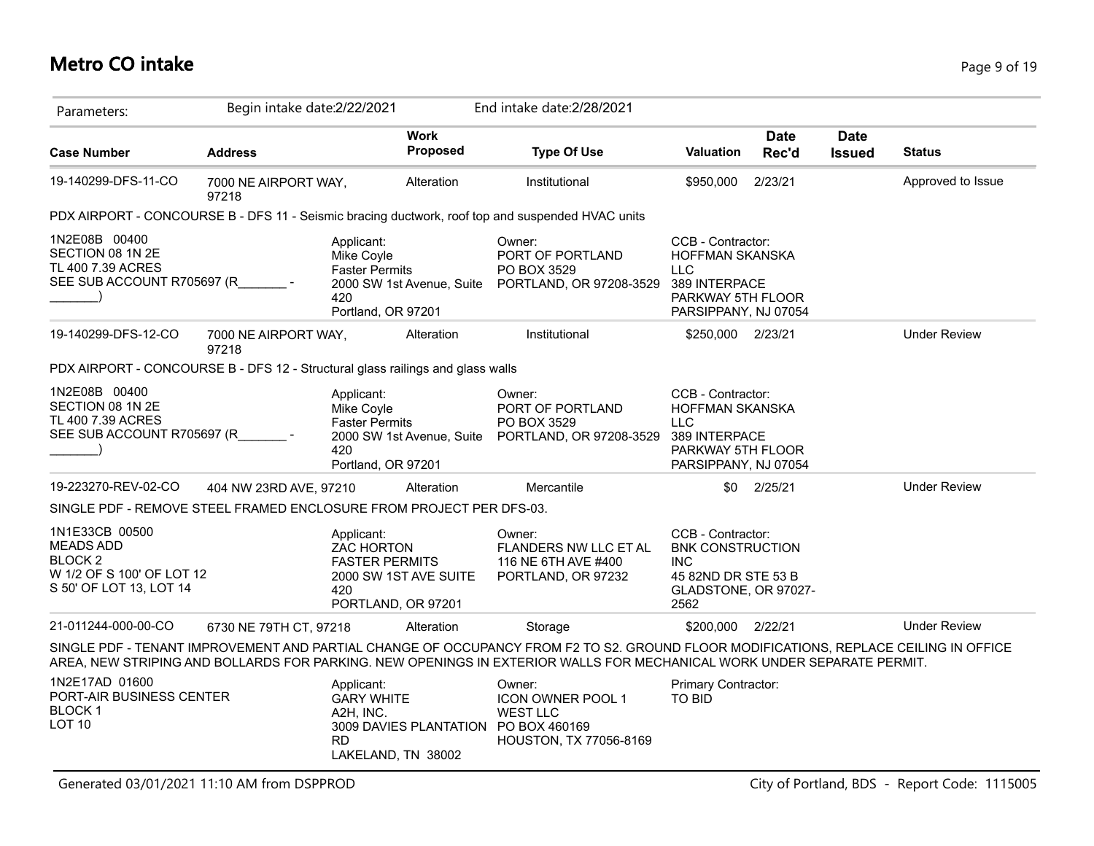# **Metro CO intake** Page 9 of 19

| Parameters:                                                                                                 | Begin intake date: 2/22/2021  |                                                                                                             |          | End intake date: 2/28/2021                                                                                                                                                                                                                                     |                                                                                                                   |                      |                              |                     |
|-------------------------------------------------------------------------------------------------------------|-------------------------------|-------------------------------------------------------------------------------------------------------------|----------|----------------------------------------------------------------------------------------------------------------------------------------------------------------------------------------------------------------------------------------------------------------|-------------------------------------------------------------------------------------------------------------------|----------------------|------------------------------|---------------------|
| <b>Case Number</b>                                                                                          | <b>Address</b>                | <b>Work</b>                                                                                                 | Proposed | <b>Type Of Use</b>                                                                                                                                                                                                                                             | <b>Valuation</b>                                                                                                  | <b>Date</b><br>Rec'd | <b>Date</b><br><b>Issued</b> | <b>Status</b>       |
| 19-140299-DFS-11-CO                                                                                         | 7000 NE AIRPORT WAY,<br>97218 | Alteration                                                                                                  |          | Institutional                                                                                                                                                                                                                                                  | \$950,000                                                                                                         | 2/23/21              |                              | Approved to Issue   |
|                                                                                                             |                               |                                                                                                             |          | PDX AIRPORT - CONCOURSE B - DFS 11 - Seismic bracing ductwork, roof top and suspended HVAC units                                                                                                                                                               |                                                                                                                   |                      |                              |                     |
| 1N2E08B 00400<br>SECTION 08 1N 2E<br>TL 400 7.39 ACRES<br>SEE SUB ACCOUNT R705697 (R                        |                               | Applicant:<br>Mike Coyle<br><b>Faster Permits</b><br>2000 SW 1st Avenue, Suite<br>420<br>Portland, OR 97201 |          | Owner:<br>PORT OF PORTLAND<br>PO BOX 3529<br>PORTLAND, OR 97208-3529                                                                                                                                                                                           | CCB - Contractor:<br>HOFFMAN SKANSKA<br><b>LLC</b><br>389 INTERPACE<br>PARKWAY 5TH FLOOR<br>PARSIPPANY, NJ 07054  |                      |                              |                     |
| 19-140299-DFS-12-CO                                                                                         | 7000 NE AIRPORT WAY,<br>97218 | Alteration                                                                                                  |          | Institutional                                                                                                                                                                                                                                                  | \$250,000 2/23/21                                                                                                 |                      |                              | <b>Under Review</b> |
| PDX AIRPORT - CONCOURSE B - DFS 12 - Structural glass railings and glass walls                              |                               |                                                                                                             |          |                                                                                                                                                                                                                                                                |                                                                                                                   |                      |                              |                     |
| 1N2E08B 00400<br>SECTION 08 1N 2E<br>TL 400 7.39 ACRES<br>SEE SUB ACCOUNT R705697 (R                        |                               | Applicant:<br>Mike Coyle<br><b>Faster Permits</b><br>2000 SW 1st Avenue, Suite<br>420<br>Portland, OR 97201 |          | Owner:<br>PORT OF PORTLAND<br>PO BOX 3529<br>PORTLAND, OR 97208-3529                                                                                                                                                                                           | CCB - Contractor:<br>HOFFMAN SKANSKA<br><b>LLC</b><br>389 INTERPACE<br>PARKWAY 5TH FLOOR<br>PARSIPPANY, NJ 07054  |                      |                              |                     |
| 19-223270-REV-02-CO                                                                                         | 404 NW 23RD AVE, 97210        | Alteration                                                                                                  |          | Mercantile                                                                                                                                                                                                                                                     |                                                                                                                   | \$0 2/25/21          |                              | <b>Under Review</b> |
| SINGLE PDF - REMOVE STEEL FRAMED ENCLOSURE FROM PROJECT PER DFS-03.                                         |                               |                                                                                                             |          |                                                                                                                                                                                                                                                                |                                                                                                                   |                      |                              |                     |
| 1N1E33CB 00500<br><b>MEADS ADD</b><br><b>BLOCK2</b><br>W 1/2 OF S 100' OF LOT 12<br>S 50' OF LOT 13, LOT 14 |                               | Applicant:<br>ZAC HORTON<br><b>FASTER PERMITS</b><br>2000 SW 1ST AVE SUITE<br>420<br>PORTLAND, OR 97201     |          | Owner:<br><b>FLANDERS NW LLC ET AL</b><br>116 NE 6TH AVE #400<br>PORTLAND, OR 97232                                                                                                                                                                            | CCB - Contractor:<br><b>BNK CONSTRUCTION</b><br><b>INC</b><br>45 82ND DR STE 53 B<br>GLADSTONE, OR 97027-<br>2562 |                      |                              |                     |
| 21-011244-000-00-CO                                                                                         | 6730 NE 79TH CT, 97218        | Alteration                                                                                                  |          | Storage                                                                                                                                                                                                                                                        | \$200,000 2/22/21                                                                                                 |                      |                              | <b>Under Review</b> |
|                                                                                                             |                               |                                                                                                             |          | SINGLE PDF - TENANT IMPROVEMENT AND PARTIAL CHANGE OF OCCUPANCY FROM F2 TO S2. GROUND FLOOR MODIFICATIONS, REPLACE CEILING IN OFFICE<br>AREA, NEW STRIPING AND BOLLARDS FOR PARKING. NEW OPENINGS IN EXTERIOR WALLS FOR MECHANICAL WORK UNDER SEPARATE PERMIT. |                                                                                                                   |                      |                              |                     |
| 1N2E17AD 01600<br>PORT-AIR BUSINESS CENTER<br><b>BLOCK1</b><br>LOT <sub>10</sub>                            |                               | Applicant:<br><b>GARY WHITE</b><br>A2H, INC.<br><b>RD</b><br>LAKELAND, TN 38002                             |          | Owner:<br>ICON OWNER POOL 1<br><b>WEST LLC</b><br>3009 DAVIES PLANTATION PO BOX 460169<br>HOUSTON, TX 77056-8169                                                                                                                                               | Primary Contractor:<br><b>TO BID</b>                                                                              |                      |                              |                     |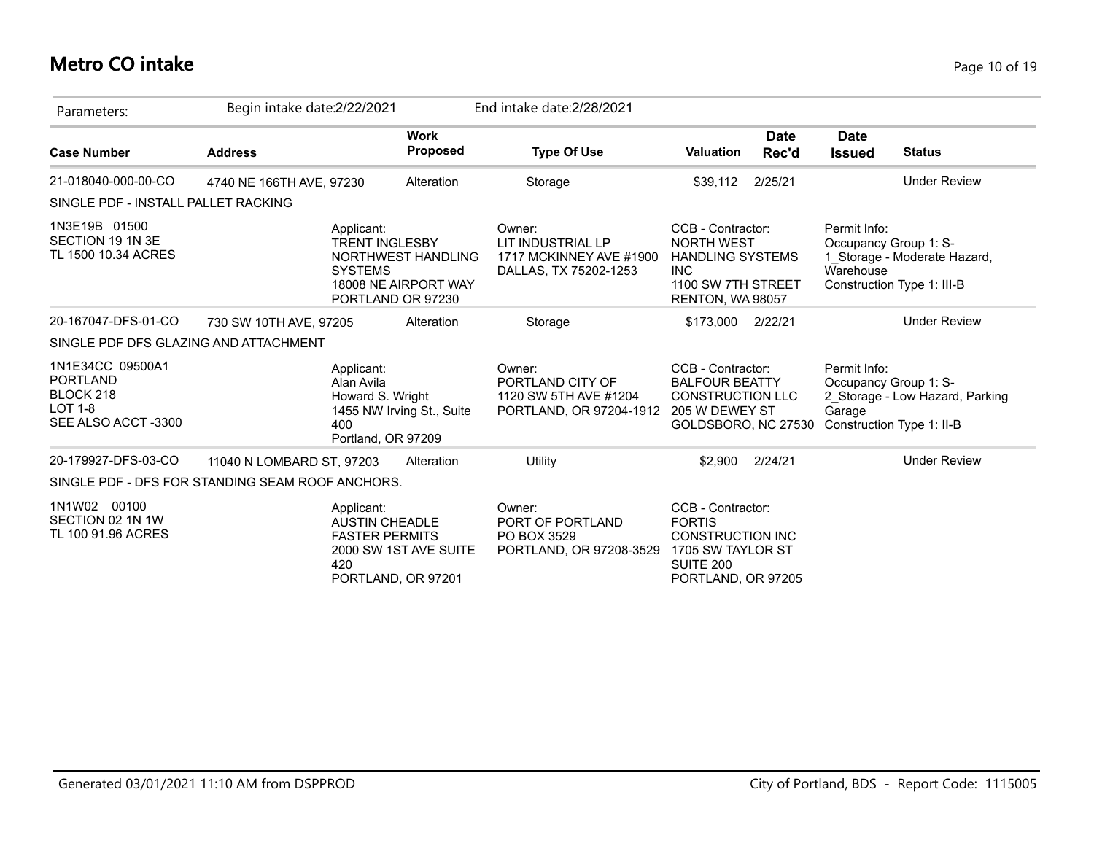### **Metro CO intake** Page 10 of 19

| Parameters:                                                                              | Begin intake date: 2/22/2021 |                                                                           |                                                                 | End intake date: 2/28/2021                                                      |                                                                                                                           |                      |                                                                              |                                                            |
|------------------------------------------------------------------------------------------|------------------------------|---------------------------------------------------------------------------|-----------------------------------------------------------------|---------------------------------------------------------------------------------|---------------------------------------------------------------------------------------------------------------------------|----------------------|------------------------------------------------------------------------------|------------------------------------------------------------|
| <b>Case Number</b>                                                                       | <b>Address</b>               |                                                                           | <b>Work</b><br><b>Proposed</b>                                  | <b>Type Of Use</b>                                                              | <b>Valuation</b>                                                                                                          | <b>Date</b><br>Rec'd | <b>Date</b><br><b>Issued</b>                                                 | <b>Status</b>                                              |
| 21-018040-000-00-CO                                                                      | 4740 NE 166TH AVE, 97230     |                                                                           | Alteration                                                      | Storage                                                                         | \$39,112                                                                                                                  | 2/25/21              |                                                                              | <b>Under Review</b>                                        |
| SINGLE PDF - INSTALL PALLET RACKING                                                      |                              |                                                                           |                                                                 |                                                                                 |                                                                                                                           |                      |                                                                              |                                                            |
| 1N3E19B 01500<br>SECTION 19 1N 3E<br>TL 1500 10.34 ACRES                                 |                              | Applicant:<br><b>TRENT INGLESBY</b><br><b>SYSTEMS</b>                     | NORTHWEST HANDLING<br>18008 NE AIRPORT WAY<br>PORTLAND OR 97230 | Owner:<br>LIT INDUSTRIAL LP<br>1717 MCKINNEY AVE #1900<br>DALLAS, TX 75202-1253 | CCB - Contractor:<br><b>NORTH WEST</b><br><b>HANDLING SYSTEMS</b><br><b>INC</b><br>1100 SW 7TH STREET<br>RENTON, WA 98057 |                      | Permit Info:<br>Occupancy Group 1: S-<br>Warehouse                           | 1 Storage - Moderate Hazard,<br>Construction Type 1: III-B |
| 20-167047-DFS-01-CO                                                                      | 730 SW 10TH AVE, 97205       |                                                                           | Alteration                                                      | Storage                                                                         | \$173,000 2/22/21                                                                                                         |                      |                                                                              | <b>Under Review</b>                                        |
| SINGLE PDF DFS GLAZING AND ATTACHMENT                                                    |                              |                                                                           |                                                                 |                                                                                 |                                                                                                                           |                      |                                                                              |                                                            |
| 1N1E34CC 09500A1<br><b>PORTLAND</b><br>BLOCK 218<br><b>LOT 1-8</b><br>SEE ALSO ACCT-3300 |                              | Applicant:<br>Alan Avila<br>Howard S. Wright<br>400<br>Portland, OR 97209 | 1455 NW Irving St., Suite                                       | Owner:<br>PORTLAND CITY OF<br>1120 SW 5TH AVE #1204<br>PORTLAND, OR 97204-1912  | CCB - Contractor:<br><b>BALFOUR BEATTY</b><br><b>CONSTRUCTION LLC</b><br>205 W DEWEY ST<br>GOLDSBORO, NC 27530            |                      | Permit Info:<br>Occupancy Group 1: S-<br>Garage<br>Construction Type 1: II-B | 2 Storage - Low Hazard, Parking                            |
| 20-179927-DFS-03-CO                                                                      | 11040 N LOMBARD ST, 97203    |                                                                           | Alteration                                                      | Utility                                                                         | \$2,900                                                                                                                   | 2/24/21              |                                                                              | <b>Under Review</b>                                        |
| SINGLE PDF - DFS FOR STANDING SEAM ROOF ANCHORS.                                         |                              |                                                                           |                                                                 |                                                                                 |                                                                                                                           |                      |                                                                              |                                                            |
| 1N1W02 00100<br>SECTION 02 1N 1W<br>TL 100 91.96 ACRES                                   |                              | Applicant:<br><b>AUSTIN CHEADLE</b><br><b>FASTER PERMITS</b><br>420       | 2000 SW 1ST AVE SUITE<br>PORTLAND, OR 97201                     | Owner:<br>PORT OF PORTLAND<br>PO BOX 3529<br>PORTLAND, OR 97208-3529            | CCB - Contractor:<br><b>FORTIS</b><br><b>CONSTRUCTION INC</b><br>1705 SW TAYLOR ST<br>SUITE 200<br>PORTLAND, OR 97205     |                      |                                                                              |                                                            |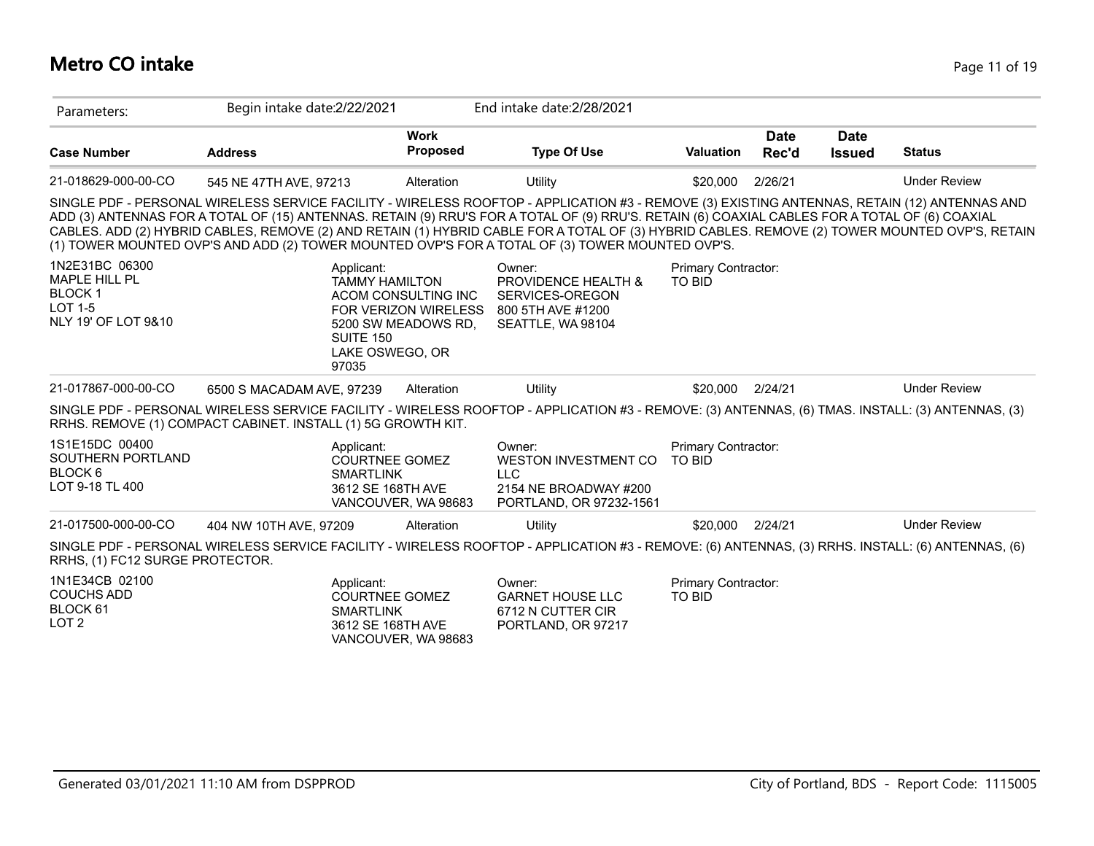### **Metro CO intake** Page 11 of 19

| Parameters:                                                                                      | Begin intake date: 2/22/2021                                                                                                                                                                                                                                                                                                                                                                                                                                                                                                                        |                                                                           | End intake date: 2/28/2021                                                                              |                                             |               |                              |                     |
|--------------------------------------------------------------------------------------------------|-----------------------------------------------------------------------------------------------------------------------------------------------------------------------------------------------------------------------------------------------------------------------------------------------------------------------------------------------------------------------------------------------------------------------------------------------------------------------------------------------------------------------------------------------------|---------------------------------------------------------------------------|---------------------------------------------------------------------------------------------------------|---------------------------------------------|---------------|------------------------------|---------------------|
| <b>Case Number</b>                                                                               | <b>Address</b>                                                                                                                                                                                                                                                                                                                                                                                                                                                                                                                                      | <b>Work</b><br><b>Proposed</b>                                            | <b>Type Of Use</b>                                                                                      | <b>Valuation</b>                            | Date<br>Rec'd | <b>Date</b><br><b>Issued</b> | <b>Status</b>       |
| 21-018629-000-00-CO                                                                              | 545 NE 47TH AVE, 97213                                                                                                                                                                                                                                                                                                                                                                                                                                                                                                                              | Alteration                                                                | Utility                                                                                                 | \$20,000                                    | 2/26/21       |                              | <b>Under Review</b> |
|                                                                                                  | SINGLE PDF - PERSONAL WIRELESS SERVICE FACILITY - WIRELESS ROOFTOP - APPLICATION #3 - REMOVE (3) EXISTING ANTENNAS, RETAIN (12) ANTENNAS AND<br>ADD (3) ANTENNAS FOR A TOTAL OF (15) ANTENNAS. RETAIN (9) RRU'S FOR A TOTAL OF (9) RRU'S. RETAIN (6) COAXIAL CABLES FOR A TOTAL OF (6) COAXIAL<br>CABLES. ADD (2) HYBRID CABLES, REMOVE (2) AND RETAIN (1) HYBRID CABLE FOR A TOTAL OF (3) HYBRID CABLES. REMOVE (2) TOWER MOUNTED OVP'S, RETAIN<br>(1) TOWER MOUNTED OVP'S AND ADD (2) TOWER MOUNTED OVP'S FOR A TOTAL OF (3) TOWER MOUNTED OVP'S. |                                                                           |                                                                                                         |                                             |               |                              |                     |
| 1N2E31BC 06300<br><b>MAPLE HILL PL</b><br><b>BLOCK1</b><br><b>LOT 1-5</b><br>NLY 19' OF LOT 9&10 | Applicant:<br><b>TAMMY HAMILTON</b><br>SUITE 150<br>LAKE OSWEGO, OR<br>97035                                                                                                                                                                                                                                                                                                                                                                                                                                                                        | ACOM CONSULTING INC<br><b>FOR VERIZON WIRELESS</b><br>5200 SW MEADOWS RD. | Owner:<br><b>PROVIDENCE HEALTH &amp;</b><br>SERVICES-OREGON<br>800 5TH AVE #1200<br>SEATTLE, WA 98104   | Primary Contractor:<br><b>TO BID</b>        |               |                              |                     |
| 21-017867-000-00-CO                                                                              | 6500 S MACADAM AVE, 97239                                                                                                                                                                                                                                                                                                                                                                                                                                                                                                                           | Alteration                                                                | Utility                                                                                                 | \$20,000                                    | 2/24/21       |                              | <b>Under Review</b> |
|                                                                                                  | SINGLE PDF - PERSONAL WIRELESS SERVICE FACILITY - WIRELESS ROOFTOP - APPLICATION #3 - REMOVE: (3) ANTENNAS, (6) TMAS. INSTALL: (3) ANTENNAS, (3)<br>RRHS. REMOVE (1) COMPACT CABINET. INSTALL (1) 5G GROWTH KIT.                                                                                                                                                                                                                                                                                                                                    |                                                                           |                                                                                                         |                                             |               |                              |                     |
| 1S1E15DC 00400<br>SOUTHERN PORTLAND<br>BLOCK 6<br>LOT 9-18 TL 400                                | Applicant:<br><b>COURTNEE GOMEZ</b><br><b>SMARTLINK</b><br>3612 SE 168TH AVE                                                                                                                                                                                                                                                                                                                                                                                                                                                                        | VANCOUVER, WA 98683                                                       | Owner:<br><b>WESTON INVESTMENT CO</b><br><b>LLC</b><br>2154 NE BROADWAY #200<br>PORTLAND, OR 97232-1561 | <b>Primary Contractor:</b><br>TO BID        |               |                              |                     |
| 21-017500-000-00-CO                                                                              | 404 NW 10TH AVE, 97209                                                                                                                                                                                                                                                                                                                                                                                                                                                                                                                              | Alteration                                                                | Utility                                                                                                 | \$20,000                                    | 2/24/21       |                              | <b>Under Review</b> |
| RRHS, (1) FC12 SURGE PROTECTOR.                                                                  | SINGLE PDF - PERSONAL WIRELESS SERVICE FACILITY - WIRELESS ROOFTOP - APPLICATION #3 - REMOVE: (6) ANTENNAS, (3) RRHS. INSTALL: (6) ANTENNAS, (6)                                                                                                                                                                                                                                                                                                                                                                                                    |                                                                           |                                                                                                         |                                             |               |                              |                     |
| 1N1E34CB 02100<br><b>COUCHS ADD</b><br>BLOCK 61<br>LOT <sub>2</sub>                              | Applicant:<br><b>COURTNEE GOMEZ</b><br><b>SMARTLINK</b><br>3612 SE 168TH AVE                                                                                                                                                                                                                                                                                                                                                                                                                                                                        | VANCOUVER, WA 98683                                                       | Owner:<br><b>GARNET HOUSE LLC</b><br>6712 N CUTTER CIR<br>PORTLAND, OR 97217                            | <b>Primary Contractor:</b><br><b>TO BID</b> |               |                              |                     |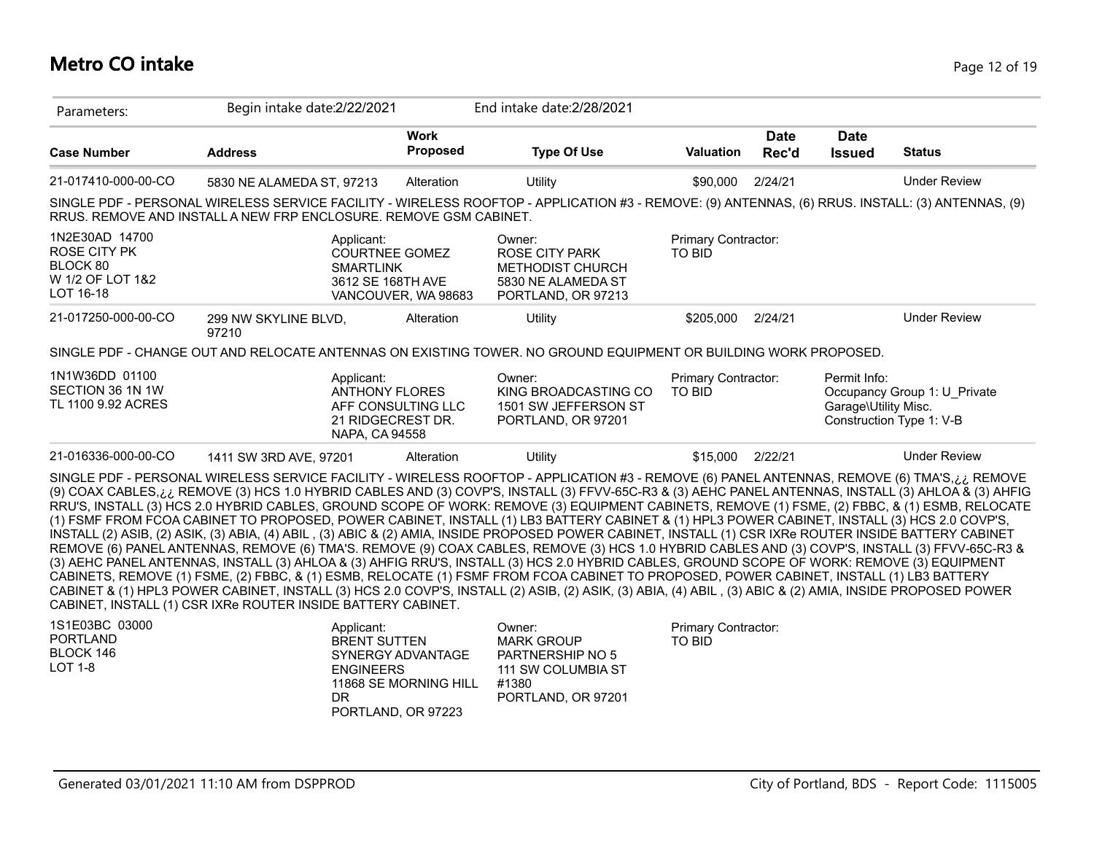### **Metro CO intake** Page 12 of 19

| Parameters:                                                                        | Begin intake date: 2/22/2021                                                                                                                                                                                                                                                                                                                                                                                                                                                                                                                                                                                                                                                                                                                                                                                                                                                                                                                                                                                                                                                                                                                                                                                                                                                                                                                                                                                                                 |                                                                                    | End intake date: 2/28/2021                                                                             |                                      |                      |                                      |                                                          |
|------------------------------------------------------------------------------------|----------------------------------------------------------------------------------------------------------------------------------------------------------------------------------------------------------------------------------------------------------------------------------------------------------------------------------------------------------------------------------------------------------------------------------------------------------------------------------------------------------------------------------------------------------------------------------------------------------------------------------------------------------------------------------------------------------------------------------------------------------------------------------------------------------------------------------------------------------------------------------------------------------------------------------------------------------------------------------------------------------------------------------------------------------------------------------------------------------------------------------------------------------------------------------------------------------------------------------------------------------------------------------------------------------------------------------------------------------------------------------------------------------------------------------------------|------------------------------------------------------------------------------------|--------------------------------------------------------------------------------------------------------|--------------------------------------|----------------------|--------------------------------------|----------------------------------------------------------|
| <b>Case Number</b>                                                                 | <b>Address</b>                                                                                                                                                                                                                                                                                                                                                                                                                                                                                                                                                                                                                                                                                                                                                                                                                                                                                                                                                                                                                                                                                                                                                                                                                                                                                                                                                                                                                               | <b>Work</b><br>Proposed                                                            | <b>Type Of Use</b>                                                                                     | <b>Valuation</b>                     | <b>Date</b><br>Rec'd | <b>Date</b><br><b>Issued</b>         | <b>Status</b>                                            |
| 21-017410-000-00-CO                                                                | 5830 NE ALAMEDA ST, 97213                                                                                                                                                                                                                                                                                                                                                                                                                                                                                                                                                                                                                                                                                                                                                                                                                                                                                                                                                                                                                                                                                                                                                                                                                                                                                                                                                                                                                    | Alteration                                                                         | Utility                                                                                                | \$90,000                             | 2/24/21              |                                      | <b>Under Review</b>                                      |
|                                                                                    | SINGLE PDF - PERSONAL WIRELESS SERVICE FACILITY - WIRELESS ROOFTOP - APPLICATION #3 - REMOVE: (9) ANTENNAS, (6) RRUS. INSTALL: (3) ANTENNAS, (9)<br>RRUS. REMOVE AND INSTALL A NEW FRP ENCLOSURE. REMOVE GSM CABINET.                                                                                                                                                                                                                                                                                                                                                                                                                                                                                                                                                                                                                                                                                                                                                                                                                                                                                                                                                                                                                                                                                                                                                                                                                        |                                                                                    |                                                                                                        |                                      |                      |                                      |                                                          |
| 1N2E30AD 14700<br><b>ROSE CITY PK</b><br>BLOCK 80<br>W 1/2 OF LOT 1&2<br>LOT 16-18 | Applicant:<br><b>SMARTLINK</b>                                                                                                                                                                                                                                                                                                                                                                                                                                                                                                                                                                                                                                                                                                                                                                                                                                                                                                                                                                                                                                                                                                                                                                                                                                                                                                                                                                                                               | <b>COURTNEE GOMEZ</b><br>3612 SE 168TH AVE<br>VANCOUVER, WA 98683                  | Owner:<br><b>ROSE CITY PARK</b><br><b>METHODIST CHURCH</b><br>5830 NE ALAMEDA ST<br>PORTLAND, OR 97213 | Primary Contractor:<br><b>TO BID</b> |                      |                                      |                                                          |
| 21-017250-000-00-CO                                                                | 299 NW SKYLINE BLVD,<br>97210                                                                                                                                                                                                                                                                                                                                                                                                                                                                                                                                                                                                                                                                                                                                                                                                                                                                                                                                                                                                                                                                                                                                                                                                                                                                                                                                                                                                                | Alteration                                                                         | <b>Utility</b>                                                                                         | \$205,000                            | 2/24/21              |                                      | <b>Under Review</b>                                      |
|                                                                                    | SINGLE PDF - CHANGE OUT AND RELOCATE ANTENNAS ON EXISTING TOWER. NO GROUND EQUIPMENT OR BUILDING WORK PROPOSED.                                                                                                                                                                                                                                                                                                                                                                                                                                                                                                                                                                                                                                                                                                                                                                                                                                                                                                                                                                                                                                                                                                                                                                                                                                                                                                                              |                                                                                    |                                                                                                        |                                      |                      |                                      |                                                          |
| 1N1W36DD 01100<br>SECTION 36 1N 1W<br>TL 1100 9.92 ACRES                           | Applicant:                                                                                                                                                                                                                                                                                                                                                                                                                                                                                                                                                                                                                                                                                                                                                                                                                                                                                                                                                                                                                                                                                                                                                                                                                                                                                                                                                                                                                                   | <b>ANTHONY FLORES</b><br>AFF CONSULTING LLC<br>21 RIDGECREST DR.<br>NAPA, CA 94558 | Owner:<br>KING BROADCASTING CO<br>1501 SW JEFFERSON ST<br>PORTLAND, OR 97201                           | Primary Contractor:<br><b>TO BID</b> |                      | Permit Info:<br>Garage\Utility Misc. | Occupancy Group 1: U Private<br>Construction Type 1: V-B |
| 21-016336-000-00-CO                                                                | 1411 SW 3RD AVE, 97201                                                                                                                                                                                                                                                                                                                                                                                                                                                                                                                                                                                                                                                                                                                                                                                                                                                                                                                                                                                                                                                                                                                                                                                                                                                                                                                                                                                                                       | Alteration                                                                         | <b>Utility</b>                                                                                         | \$15,000                             | 2/22/21              |                                      | <b>Under Review</b>                                      |
|                                                                                    | SINGLE PDF - PERSONAL WIRELESS SERVICE FACILITY - WIRELESS ROOFTOP - APPLICATION #3 - REMOVE (6) PANEL ANTENNAS, REMOVE (6) TMA'S,¿¿ REMOVE<br>(9) COAX CABLES, i.i. REMOVE (3) HCS 1.0 HYBRID CABLES AND (3) COVP'S, INSTALL (3) FFVV-65C-R3 & (3) AEHC PANEL ANTENNAS, INSTALL (3) AHLOA & (3) AHFIG<br>RRU'S, INSTALL (3) HCS 2.0 HYBRID CABLES, GROUND SCOPE OF WORK: REMOVE (3) EQUIPMENT CABINETS, REMOVE (1) FSME, (2) FBBC, & (1) ESMB, RELOCATE<br>(1) FSMF FROM FCOA CABINET TO PROPOSED, POWER CABINET, INSTALL (1) LB3 BATTERY CABINET & (1) HPL3 POWER CABINET, INSTALL (3) HCS 2.0 COVP'S,<br>INSTALL (2) ASIB, (2) ASIK, (3) ABIA, (4) ABIL, (3) ABIC & (2) AMIA, INSIDE PROPOSED POWER CABINET, INSTALL (1) CSR IXRe ROUTER INSIDE BATTERY CABINET<br>REMOVE (6) PANEL ANTENNAS, REMOVE (6) TMA'S. REMOVE (9) COAX CABLES, REMOVE (3) HCS 1.0 HYBRID CABLES AND (3) COVP'S, INSTALL (3) FFVV-65C-R3 &<br>(3) AEHC PANEL ANTENNAS, INSTALL (3) AHLOA & (3) AHFIG RRU'S, INSTALL (3) HCS 2.0 HYBRID CABLES, GROUND SCOPE OF WORK: REMOVE (3) EQUIPMENT<br>CABINETS, REMOVE (1) FSME, (2) FBBC, & (1) ESMB, RELOCATE (1) FSMF FROM FCOA CABINET TO PROPOSED, POWER CABINET, INSTALL (1) LB3 BATTERY<br>CABINET & (1) HPL3 POWER CABINET, INSTALL (3) HCS 2.0 COVP'S, INSTALL (2) ASIB, (2) ASIK, (3) ABIA, (4) ABIL, (3) ABIC & (2) AMIA, INSIDE PROPOSED POWER<br>CABINET, INSTALL (1) CSR IXRe ROUTER INSIDE BATTERY CABINET. |                                                                                    |                                                                                                        |                                      |                      |                                      |                                                          |
| 1S1E03BC 03000<br><b>PORTLAND</b><br>BLOCK 146                                     | Applicant:                                                                                                                                                                                                                                                                                                                                                                                                                                                                                                                                                                                                                                                                                                                                                                                                                                                                                                                                                                                                                                                                                                                                                                                                                                                                                                                                                                                                                                   | <b>BRENT SUTTEN</b><br>SYNERGY ADVANTAGE                                           | Owner:<br><b>MARK GROUP</b><br>PARTNERSHIP NO 5                                                        | Primary Contractor:<br><b>TO BID</b> |                      |                                      |                                                          |

111 SW COLUMBIA ST

PORTLAND, OR 97201

#1380

ENGINEERS

DR

11868 SE MORNING HILL

PORTLAND, OR 97223

LOT 1-8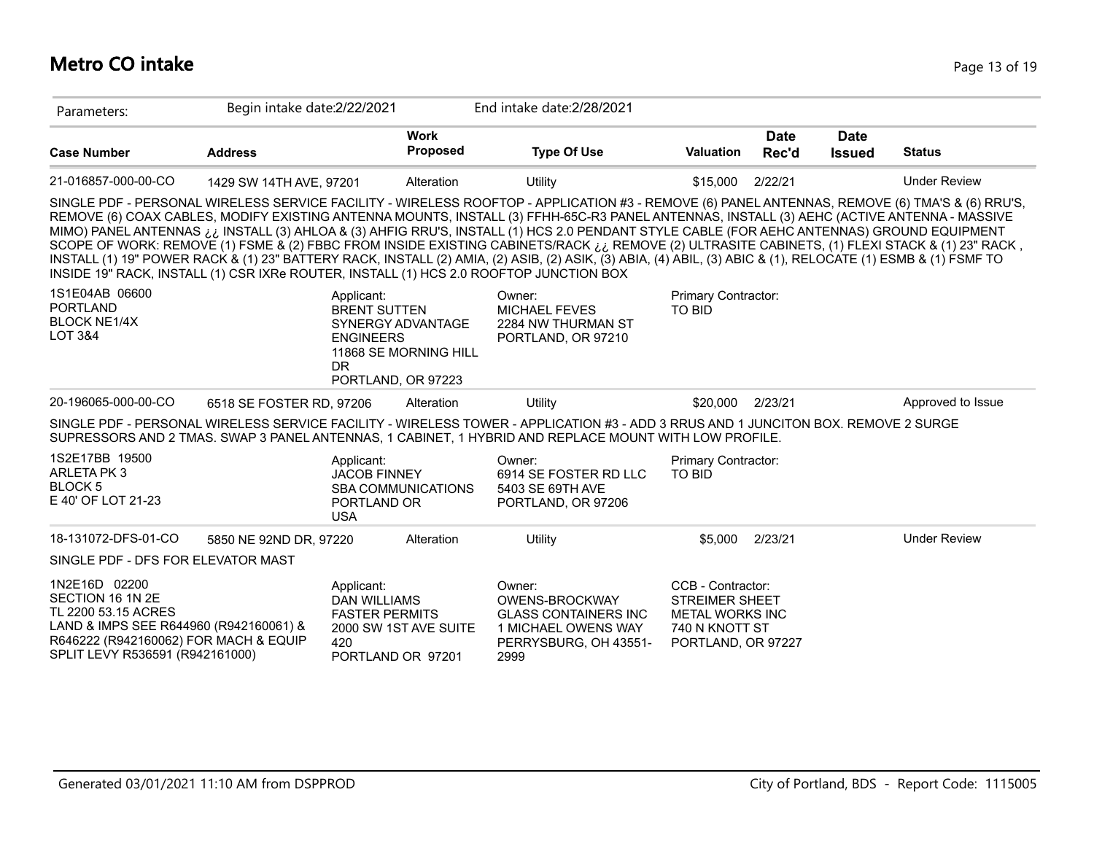# **Metro CO intake** Page 13 of 19

| Parameters:                                                                                                                                                                    | Begin intake date: 2/22/2021 |                                                                                                                |                                | End intake date: 2/28/2021                                                                                                                                                                                                                                                                                                                                                                                                                                                                                                                                                                                                                                                                                                                                  |                                                                                                              |                      |                              |                     |
|--------------------------------------------------------------------------------------------------------------------------------------------------------------------------------|------------------------------|----------------------------------------------------------------------------------------------------------------|--------------------------------|-------------------------------------------------------------------------------------------------------------------------------------------------------------------------------------------------------------------------------------------------------------------------------------------------------------------------------------------------------------------------------------------------------------------------------------------------------------------------------------------------------------------------------------------------------------------------------------------------------------------------------------------------------------------------------------------------------------------------------------------------------------|--------------------------------------------------------------------------------------------------------------|----------------------|------------------------------|---------------------|
| <b>Case Number</b>                                                                                                                                                             | <b>Address</b>               |                                                                                                                | <b>Work</b><br><b>Proposed</b> | <b>Type Of Use</b>                                                                                                                                                                                                                                                                                                                                                                                                                                                                                                                                                                                                                                                                                                                                          | <b>Valuation</b>                                                                                             | <b>Date</b><br>Rec'd | <b>Date</b><br><b>Issued</b> | <b>Status</b>       |
| 21-016857-000-00-CO                                                                                                                                                            | 1429 SW 14TH AVE, 97201      |                                                                                                                | Alteration                     | Utility                                                                                                                                                                                                                                                                                                                                                                                                                                                                                                                                                                                                                                                                                                                                                     | \$15,000                                                                                                     | 2/22/21              |                              | <b>Under Review</b> |
| INSIDE 19" RACK, INSTALL (1) CSR IXRe ROUTER, INSTALL (1) HCS 2.0 ROOFTOP JUNCTION BOX                                                                                         |                              |                                                                                                                |                                | SINGLE PDF - PERSONAL WIRELESS SERVICE FACILITY - WIRELESS ROOFTOP - APPLICATION #3 - REMOVE (6) PANEL ANTENNAS, REMOVE (6) TMA'S & (6) RRU'S,<br>REMOVE (6) COAX CABLES, MODIFY EXISTING ANTENNA MOUNTS, INSTALL (3) FFHH-65C-R3 PANEL ANTENNAS, INSTALL (3) AEHC (ACTIVE ANTENNA - MASSIVE<br>MIMO) PANEL ANTENNAS ¿¿ INSTALL (3) AHLOA & (3) AHFIG RRU'S, INSTALL (1) HCS 2.0 PENDANT STYLE CABLE (FOR AEHC ANTENNAS) GROUND EQUIPMENT<br>SCOPE OF WORK: REMOVE (1) FSME & (2) FBBC FROM INSIDE EXISTING CABINETS/RACK ¿¿ REMOVE (2) ULTRASITE CABINETS, (1) FLEXI STACK & (1) 23" RACK,<br>INSTALL (1) 19" POWER RACK & (1) 23" BATTERY RACK, INSTALL (2) AMIA, (2) ASIB, (2) ASIK, (3) ABIA, (4) ABIL, (3) ABIC & (1), RELOCATE (1) ESMB & (1) FSMF TO |                                                                                                              |                      |                              |                     |
| 1S1E04AB 06600<br><b>PORTLAND</b><br><b>BLOCK NE1/4X</b><br><b>LOT 3&amp;4</b>                                                                                                 |                              | Applicant:<br><b>BRENT SUTTEN</b><br><b>SYNERGY ADVANTAGE</b><br><b>ENGINEERS</b><br>DR.<br>PORTLAND, OR 97223 | 11868 SE MORNING HILL          | Owner:<br><b>MICHAEL FEVES</b><br>2284 NW THURMAN ST<br>PORTLAND, OR 97210                                                                                                                                                                                                                                                                                                                                                                                                                                                                                                                                                                                                                                                                                  | Primary Contractor:<br><b>TO BID</b>                                                                         |                      |                              |                     |
| 20-196065-000-00-CO                                                                                                                                                            | 6518 SE FOSTER RD, 97206     |                                                                                                                | Alteration                     | Utility                                                                                                                                                                                                                                                                                                                                                                                                                                                                                                                                                                                                                                                                                                                                                     | \$20,000                                                                                                     | 2/23/21              |                              | Approved to Issue   |
|                                                                                                                                                                                |                              |                                                                                                                |                                | SINGLE PDF - PERSONAL WIRELESS SERVICE FACILITY - WIRELESS TOWER - APPLICATION #3 - ADD 3 RRUS AND 1 JUNCITON BOX. REMOVE 2 SURGE<br>SUPRESSORS AND 2 TMAS. SWAP 3 PANEL ANTENNAS, 1 CABINET, 1 HYBRID AND REPLACE MOUNT WITH LOW PROFILE.                                                                                                                                                                                                                                                                                                                                                                                                                                                                                                                  |                                                                                                              |                      |                              |                     |
| 1S2E17BB 19500<br>ARLETA PK3<br>BLOCK <sub>5</sub><br>E 40' OF LOT 21-23                                                                                                       |                              | Applicant:<br><b>JACOB FINNEY</b><br>PORTLAND OR<br><b>USA</b>                                                 | <b>SBA COMMUNICATIONS</b>      | Owner:<br>6914 SE FOSTER RD LLC<br>5403 SE 69TH AVE<br>PORTLAND, OR 97206                                                                                                                                                                                                                                                                                                                                                                                                                                                                                                                                                                                                                                                                                   | Primary Contractor:<br><b>TO BID</b>                                                                         |                      |                              |                     |
| 18-131072-DFS-01-CO                                                                                                                                                            | 5850 NE 92ND DR, 97220       |                                                                                                                | Alteration                     | Utility                                                                                                                                                                                                                                                                                                                                                                                                                                                                                                                                                                                                                                                                                                                                                     | \$5,000                                                                                                      | 2/23/21              |                              | <b>Under Review</b> |
| SINGLE PDF - DFS FOR ELEVATOR MAST                                                                                                                                             |                              |                                                                                                                |                                |                                                                                                                                                                                                                                                                                                                                                                                                                                                                                                                                                                                                                                                                                                                                                             |                                                                                                              |                      |                              |                     |
| 1N2E16D 02200<br>SECTION 16 1N 2E<br>TL 2200 53.15 ACRES<br>LAND & IMPS SEE R644960 (R942160061) &<br>R646222 (R942160062) FOR MACH & EQUIP<br>SPLIT LEVY R536591 (R942161000) |                              | Applicant:<br><b>DAN WILLIAMS</b><br><b>FASTER PERMITS</b><br>420<br>PORTLAND OR 97201                         | 2000 SW 1ST AVE SUITE          | Owner:<br>OWENS-BROCKWAY<br><b>GLASS CONTAINERS INC</b><br>1 MICHAEL OWENS WAY<br>PERRYSBURG, OH 43551-<br>2999                                                                                                                                                                                                                                                                                                                                                                                                                                                                                                                                                                                                                                             | CCB - Contractor:<br><b>STREIMER SHEET</b><br><b>METAL WORKS INC</b><br>740 N KNOTT ST<br>PORTLAND, OR 97227 |                      |                              |                     |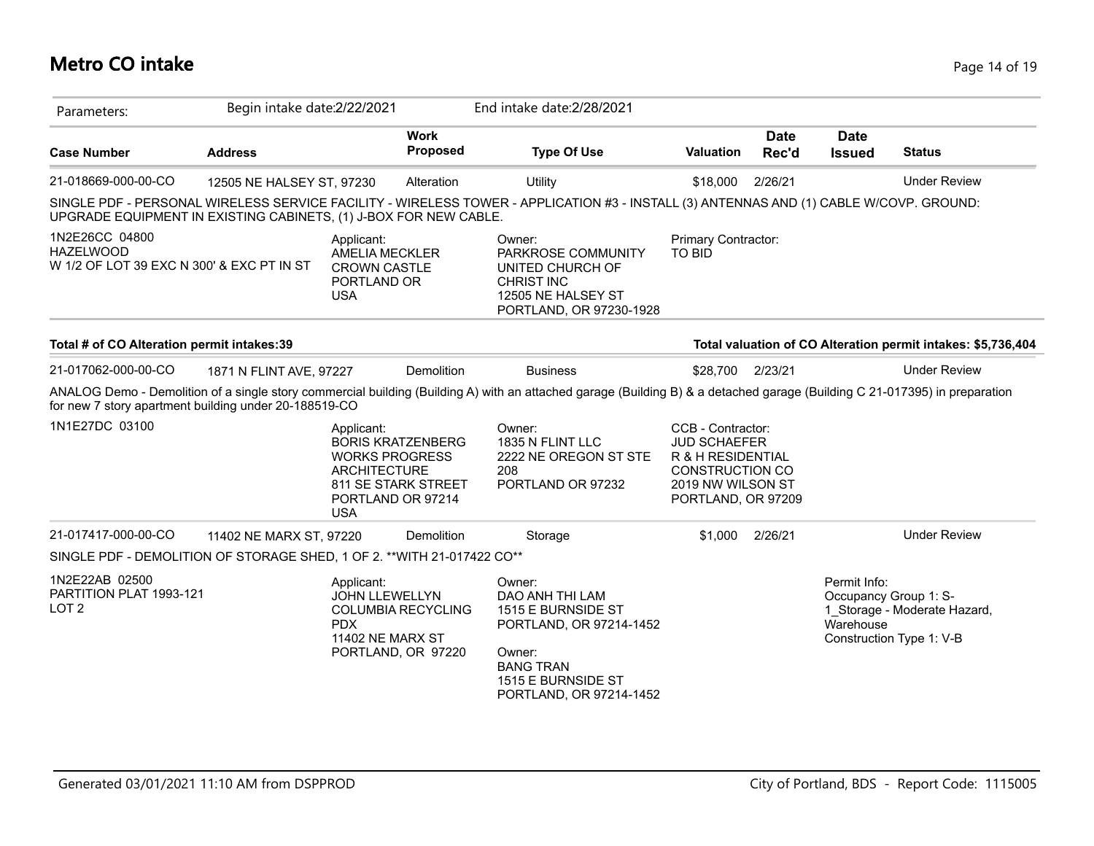### **Metro CO intake** Page 14 of 19

| Parameters:                                                                     | Begin intake date: 2/22/2021 |                                                                                                                                                  |                         | End intake date: 2/28/2021                                                                                                                                                 |                                                                                                                                    |                      |                              |                                                                                   |
|---------------------------------------------------------------------------------|------------------------------|--------------------------------------------------------------------------------------------------------------------------------------------------|-------------------------|----------------------------------------------------------------------------------------------------------------------------------------------------------------------------|------------------------------------------------------------------------------------------------------------------------------------|----------------------|------------------------------|-----------------------------------------------------------------------------------|
| <b>Case Number</b>                                                              | <b>Address</b>               |                                                                                                                                                  | <b>Work</b><br>Proposed | <b>Type Of Use</b>                                                                                                                                                         | <b>Valuation</b>                                                                                                                   | <b>Date</b><br>Rec'd | <b>Date</b><br><b>Issued</b> | <b>Status</b>                                                                     |
| 21-018669-000-00-CO                                                             | 12505 NE HALSEY ST, 97230    |                                                                                                                                                  | Alteration              | <b>Utility</b>                                                                                                                                                             | \$18,000                                                                                                                           | 2/26/21              |                              | <b>Under Review</b>                                                               |
| UPGRADE EQUIPMENT IN EXISTING CABINETS, (1) J-BOX FOR NEW CABLE.                |                              |                                                                                                                                                  |                         | SINGLE PDF - PERSONAL WIRELESS SERVICE FACILITY - WIRELESS TOWER - APPLICATION #3 - INSTALL (3) ANTENNAS AND (1) CABLE W/COVP. GROUND:                                     |                                                                                                                                    |                      |                              |                                                                                   |
| 1N2E26CC 04800<br><b>HAZELWOOD</b><br>W 1/2 OF LOT 39 EXC N 300' & EXC PT IN ST |                              | Applicant:<br>AMELIA MECKLER<br><b>CROWN CASTLE</b><br>PORTLAND OR<br><b>USA</b>                                                                 |                         | Owner:<br>PARKROSE COMMUNITY<br>UNITED CHURCH OF<br><b>CHRIST INC</b><br>12505 NE HALSEY ST<br>PORTLAND, OR 97230-1928                                                     | Primary Contractor:<br>TO BID                                                                                                      |                      |                              |                                                                                   |
| Total # of CO Alteration permit intakes:39                                      |                              |                                                                                                                                                  |                         |                                                                                                                                                                            |                                                                                                                                    |                      |                              | Total valuation of CO Alteration permit intakes: \$5,736,404                      |
| 21-017062-000-00-CO                                                             | 1871 N FLINT AVE, 97227      |                                                                                                                                                  | Demolition              | <b>Business</b>                                                                                                                                                            | \$28,700                                                                                                                           | 2/23/21              |                              | <b>Under Review</b>                                                               |
| for new 7 story apartment building under 20-188519-CO                           |                              |                                                                                                                                                  |                         | ANALOG Demo - Demolition of a single story commercial building (Building A) with an attached garage (Building B) & a detached garage (Building C 21-017395) in preparation |                                                                                                                                    |                      |                              |                                                                                   |
| 1N1E27DC 03100                                                                  |                              | Applicant:<br><b>BORIS KRATZENBERG</b><br><b>WORKS PROGRESS</b><br><b>ARCHITECTURE</b><br>811 SE STARK STREET<br>PORTLAND OR 97214<br><b>USA</b> |                         | Owner:<br>1835 N FLINT LLC<br>2222 NE OREGON ST STE<br>208<br>PORTLAND OR 97232                                                                                            | CCB - Contractor:<br><b>JUD SCHAEFER</b><br>R & H RESIDENTIAL<br><b>CONSTRUCTION CO</b><br>2019 NW WILSON ST<br>PORTLAND, OR 97209 |                      |                              |                                                                                   |
| 21-017417-000-00-CO                                                             | 11402 NE MARX ST, 97220      |                                                                                                                                                  | Demolition              | Storage                                                                                                                                                                    | \$1,000                                                                                                                            | 2/26/21              |                              | <b>Under Review</b>                                                               |
| SINGLE PDF - DEMOLITION OF STORAGE SHED, 1 OF 2. ** WITH 21-017422 CO**         |                              |                                                                                                                                                  |                         |                                                                                                                                                                            |                                                                                                                                    |                      |                              |                                                                                   |
| 1N2E22AB 02500<br>PARTITION PLAT 1993-121<br>LOT <sub>2</sub>                   |                              | Applicant:<br><b>JOHN LLEWELLYN</b><br>COLUMBIA RECYCLING<br><b>PDX</b><br>11402 NE MARX ST<br>PORTLAND, OR 97220                                |                         | Owner:<br>DAO ANH THI LAM<br>1515 E BURNSIDE ST<br>PORTLAND, OR 97214-1452<br>Owner:<br><b>BANG TRAN</b><br>1515 E BURNSIDE ST<br>PORTLAND, OR 97214-1452                  |                                                                                                                                    |                      | Permit Info:<br>Warehouse    | Occupancy Group 1: S-<br>1_Storage - Moderate Hazard,<br>Construction Type 1: V-B |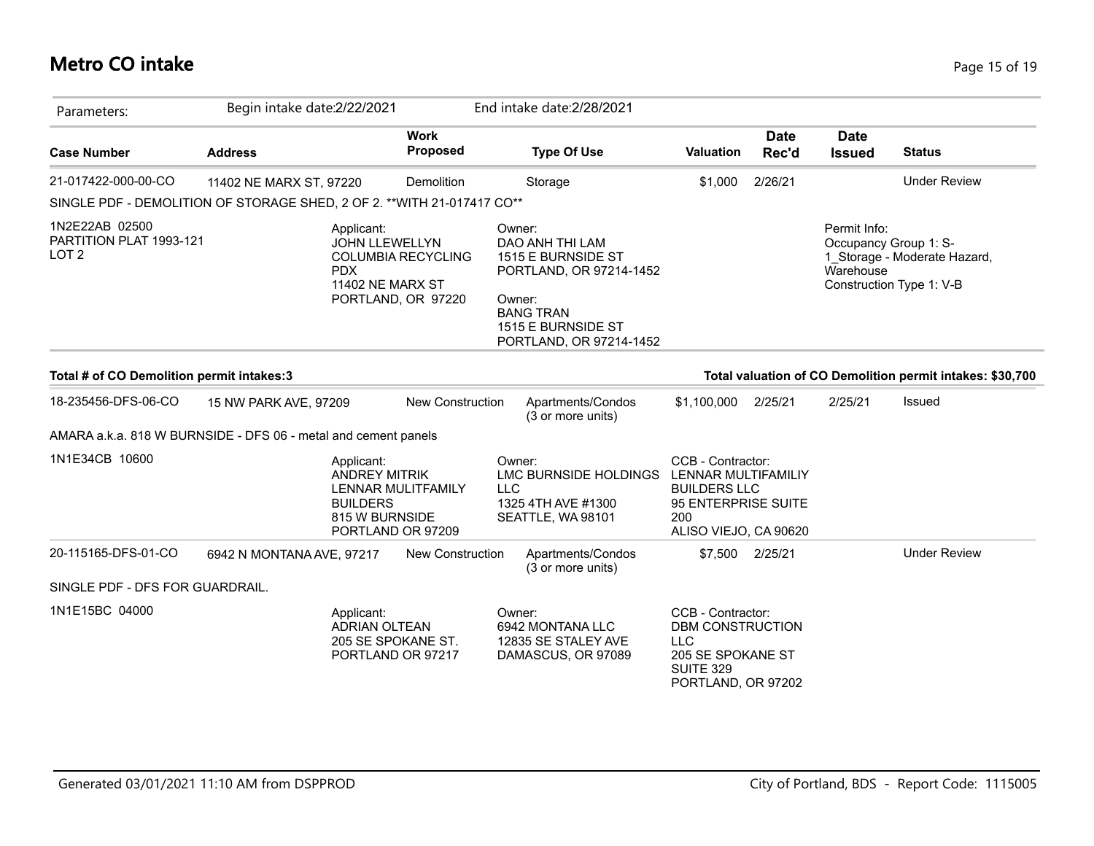### **Metro CO intake** Page 15 of 19

| Parameters:                                                             | Begin intake date: 2/22/2021 |                                                                                              |                                                 |            | End intake date: 2/28/2021                                                                                                                                |                                                                                                                        |                      |                              |                                                                                   |
|-------------------------------------------------------------------------|------------------------------|----------------------------------------------------------------------------------------------|-------------------------------------------------|------------|-----------------------------------------------------------------------------------------------------------------------------------------------------------|------------------------------------------------------------------------------------------------------------------------|----------------------|------------------------------|-----------------------------------------------------------------------------------|
| <b>Case Number</b>                                                      | <b>Address</b>               |                                                                                              | <b>Work</b><br><b>Proposed</b>                  |            | <b>Type Of Use</b>                                                                                                                                        | Valuation                                                                                                              | <b>Date</b><br>Rec'd | <b>Date</b><br><b>Issued</b> | <b>Status</b>                                                                     |
| 21-017422-000-00-CO                                                     | 11402 NE MARX ST, 97220      |                                                                                              | Demolition                                      |            | Storage                                                                                                                                                   | \$1,000                                                                                                                | 2/26/21              |                              | <b>Under Review</b>                                                               |
| SINGLE PDF - DEMOLITION OF STORAGE SHED, 2 OF 2. ** WITH 21-017417 CO** |                              |                                                                                              |                                                 |            |                                                                                                                                                           |                                                                                                                        |                      |                              |                                                                                   |
| 1N2E22AB 02500<br>PARTITION PLAT 1993-121<br>LOT <sub>2</sub>           |                              | Applicant:<br><b>JOHN LLEWELLYN</b><br><b>PDX</b><br>11402 NE MARX ST                        | <b>COLUMBIA RECYCLING</b><br>PORTLAND, OR 97220 |            | Owner:<br>DAO ANH THI LAM<br>1515 E BURNSIDE ST<br>PORTLAND, OR 97214-1452<br>Owner:<br><b>BANG TRAN</b><br>1515 E BURNSIDE ST<br>PORTLAND, OR 97214-1452 |                                                                                                                        |                      | Permit Info:<br>Warehouse    | Occupancy Group 1: S-<br>1_Storage - Moderate Hazard,<br>Construction Type 1: V-B |
| Total # of CO Demolition permit intakes:3                               |                              |                                                                                              |                                                 |            |                                                                                                                                                           |                                                                                                                        |                      |                              | Total valuation of CO Demolition permit intakes: \$30,700                         |
| 18-235456-DFS-06-CO                                                     | 15 NW PARK AVE, 97209        |                                                                                              | New Construction                                |            | Apartments/Condos<br>(3 or more units)                                                                                                                    | \$1,100,000                                                                                                            | 2/25/21              | 2/25/21                      | Issued                                                                            |
| AMARA a.k.a. 818 W BURNSIDE - DFS 06 - metal and cement panels          |                              |                                                                                              |                                                 |            |                                                                                                                                                           |                                                                                                                        |                      |                              |                                                                                   |
| 1N1E34CB 10600                                                          |                              | Applicant:<br><b>ANDREY MITRIK</b><br><b>BUILDERS</b><br>815 W BURNSIDE<br>PORTLAND OR 97209 | LENNAR MULITFAMILY                              | <b>LLC</b> | Owner:<br>LMC BURNSIDE HOLDINGS<br>1325 4TH AVE #1300<br>SEATTLE, WA 98101                                                                                | CCB - Contractor:<br>LENNAR MULTIFAMILIY<br><b>BUILDERS LLC</b><br>95 ENTERPRISE SUITE<br>200<br>ALISO VIEJO, CA 90620 |                      |                              |                                                                                   |
| 20-115165-DFS-01-CO                                                     | 6942 N MONTANA AVE, 97217    |                                                                                              | New Construction                                |            | Apartments/Condos<br>(3 or more units)                                                                                                                    |                                                                                                                        | \$7,500 2/25/21      |                              | <b>Under Review</b>                                                               |
| SINGLE PDF - DFS FOR GUARDRAIL.                                         |                              |                                                                                              |                                                 |            |                                                                                                                                                           |                                                                                                                        |                      |                              |                                                                                   |
| 1N1E15BC 04000                                                          |                              | Applicant:<br><b>ADRIAN OLTEAN</b><br>205 SE SPOKANE ST.<br>PORTLAND OR 97217                |                                                 |            | Owner:<br>6942 MONTANA LLC<br>12835 SE STALEY AVE<br>DAMASCUS, OR 97089                                                                                   | CCB - Contractor:<br>DBM CONSTRUCTION<br><b>LLC</b><br>205 SE SPOKANE ST<br><b>SUITE 329</b><br>PORTLAND, OR 97202     |                      |                              |                                                                                   |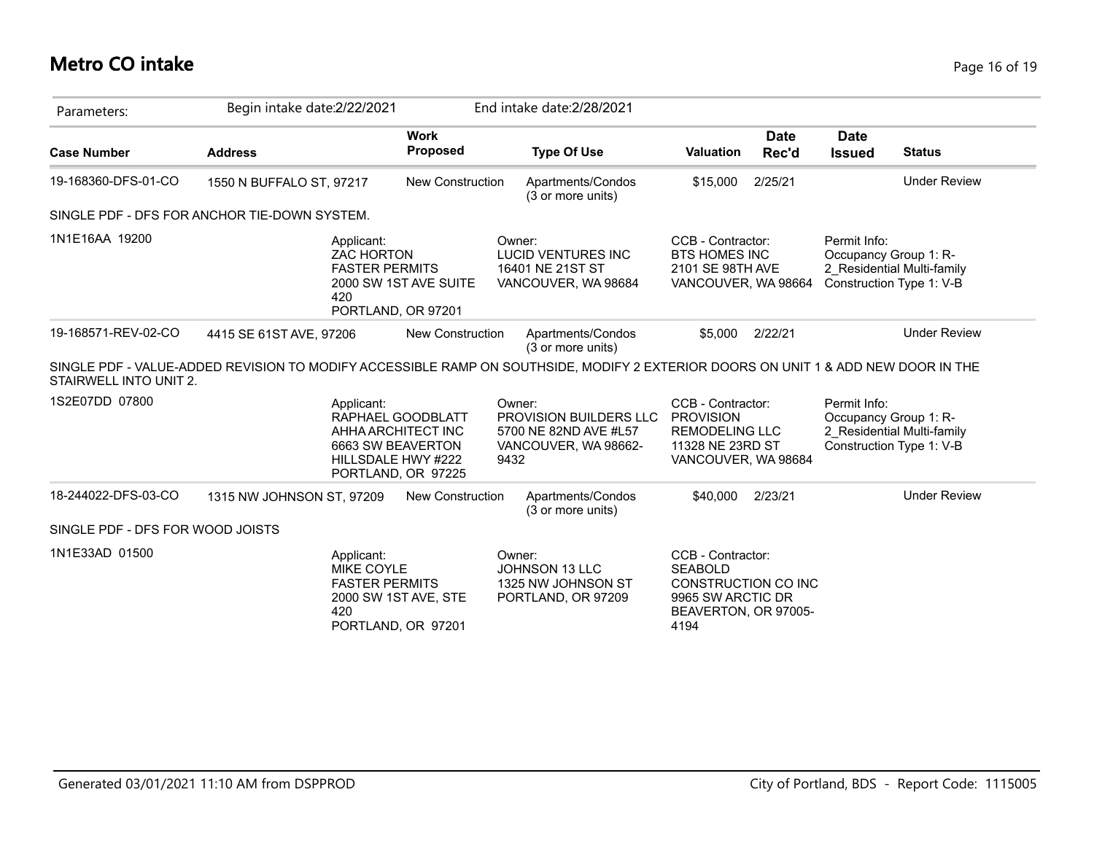### **Metro CO intake** Page 16 of 19

| Parameters:                      | Begin intake date: 2/22/2021                                                                                                      |                                                                                                          | End intake date: 2/28/2021                                                                       |                                                                                                                        |                      |                                                                   |                            |
|----------------------------------|-----------------------------------------------------------------------------------------------------------------------------------|----------------------------------------------------------------------------------------------------------|--------------------------------------------------------------------------------------------------|------------------------------------------------------------------------------------------------------------------------|----------------------|-------------------------------------------------------------------|----------------------------|
| <b>Case Number</b>               | <b>Address</b>                                                                                                                    | <b>Work</b><br>Proposed                                                                                  | <b>Type Of Use</b>                                                                               | <b>Valuation</b>                                                                                                       | <b>Date</b><br>Rec'd | <b>Date</b><br><b>Issued</b>                                      | <b>Status</b>              |
| 19-168360-DFS-01-CO              | 1550 N BUFFALO ST, 97217                                                                                                          | New Construction                                                                                         | Apartments/Condos<br>(3 or more units)                                                           | \$15,000                                                                                                               | 2/25/21              |                                                                   | <b>Under Review</b>        |
|                                  | SINGLE PDF - DFS FOR ANCHOR TIE-DOWN SYSTEM.                                                                                      |                                                                                                          |                                                                                                  |                                                                                                                        |                      |                                                                   |                            |
| 1N1E16AA 19200                   | Applicant:<br><b>ZAC HORTON</b><br><b>FASTER PERMITS</b><br>420                                                                   | 2000 SW 1ST AVE SUITE<br>PORTLAND, OR 97201                                                              | Owner:<br><b>LUCID VENTURES INC</b><br>16401 NE 21ST ST<br>VANCOUVER, WA 98684                   | CCB - Contractor:<br><b>BTS HOMES INC</b><br>2101 SE 98TH AVE<br>VANCOUVER, WA 98664                                   |                      | Permit Info:<br>Occupancy Group 1: R-<br>Construction Type 1: V-B | 2 Residential Multi-family |
| 19-168571-REV-02-CO              | 4415 SE 61ST AVE, 97206                                                                                                           | <b>New Construction</b>                                                                                  | Apartments/Condos<br>(3 or more units)                                                           | \$5,000                                                                                                                | 2/22/21              |                                                                   | <b>Under Review</b>        |
| STAIRWELL INTO UNIT 2.           | SINGLE PDF - VALUE-ADDED REVISION TO MODIFY ACCESSIBLE RAMP ON SOUTHSIDE, MODIFY 2 EXTERIOR DOORS ON UNIT 1 & ADD NEW DOOR IN THE |                                                                                                          |                                                                                                  |                                                                                                                        |                      |                                                                   |                            |
| 1S2E07DD 07800                   | Applicant:                                                                                                                        | RAPHAEL GOODBLATT<br>AHHA ARCHITECT INC<br>6663 SW BEAVERTON<br>HILLSDALE HWY #222<br>PORTLAND, OR 97225 | Owner:<br><b>PROVISION BUILDERS LLC</b><br>5700 NE 82ND AVE #L57<br>VANCOUVER, WA 98662-<br>9432 | CCB - Contractor:<br><b>PROVISION</b><br><b>REMODELING LLC</b><br>11328 NE 23RD ST<br>VANCOUVER, WA 98684              |                      | Permit Info:<br>Occupancy Group 1: R-<br>Construction Type 1: V-B | 2 Residential Multi-family |
| 18-244022-DFS-03-CO              | 1315 NW JOHNSON ST, 97209                                                                                                         | <b>New Construction</b>                                                                                  | Apartments/Condos<br>(3 or more units)                                                           | \$40,000                                                                                                               | 2/23/21              |                                                                   | <b>Under Review</b>        |
| SINGLE PDF - DFS FOR WOOD JOISTS |                                                                                                                                   |                                                                                                          |                                                                                                  |                                                                                                                        |                      |                                                                   |                            |
| 1N1E33AD 01500                   | Applicant:<br><b>MIKE COYLE</b><br><b>FASTER PERMITS</b><br>420                                                                   | 2000 SW 1ST AVE, STE<br>PORTLAND, OR 97201                                                               | Owner:<br><b>JOHNSON 13 LLC</b><br>1325 NW JOHNSON ST<br>PORTLAND, OR 97209                      | CCB - Contractor:<br><b>SEABOLD</b><br><b>CONSTRUCTION CO INC</b><br>9965 SW ARCTIC DR<br>BEAVERTON, OR 97005-<br>4194 |                      |                                                                   |                            |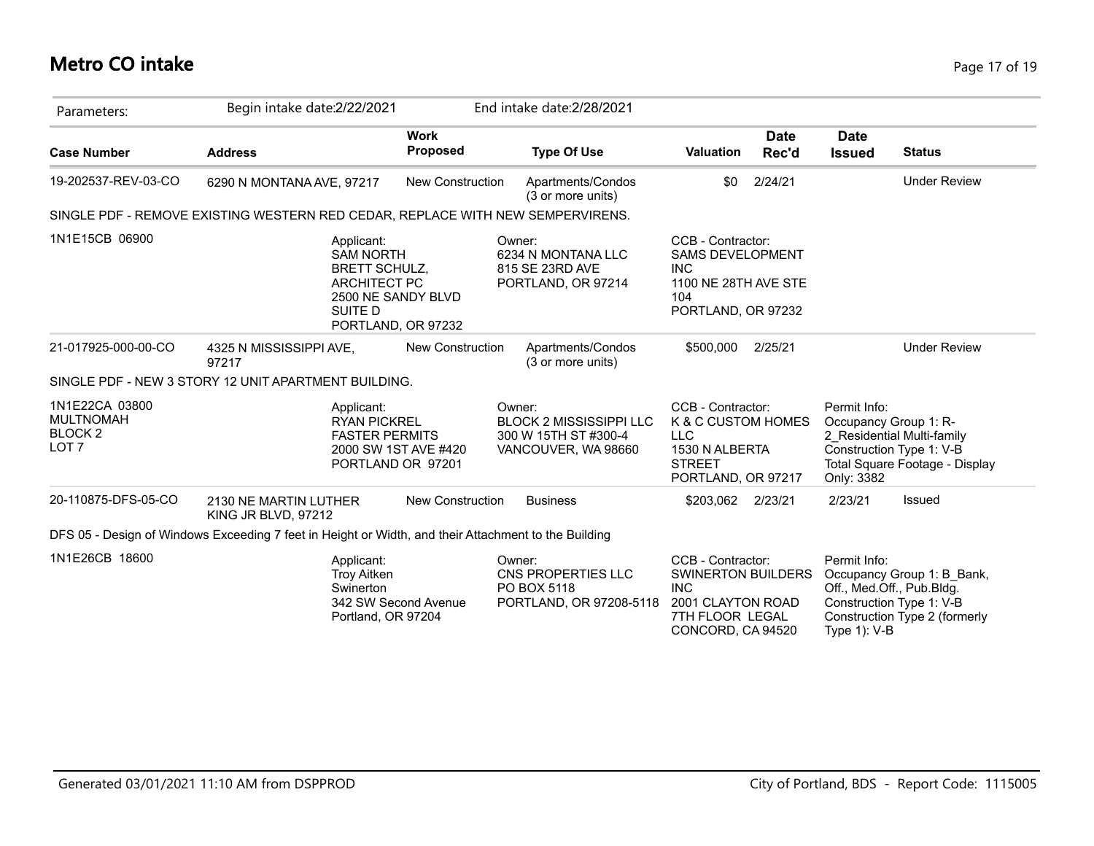### **Metro CO intake** Page 17 of 19

| Parameters:                                                                  | Begin intake date: 2/22/2021                                                                                                         |                                | End intake date: 2/28/2021                                                              |                                                                                                                           |                      |                                                                                       |                                                              |
|------------------------------------------------------------------------------|--------------------------------------------------------------------------------------------------------------------------------------|--------------------------------|-----------------------------------------------------------------------------------------|---------------------------------------------------------------------------------------------------------------------------|----------------------|---------------------------------------------------------------------------------------|--------------------------------------------------------------|
| <b>Case Number</b>                                                           | <b>Address</b>                                                                                                                       | <b>Work</b><br><b>Proposed</b> | <b>Type Of Use</b>                                                                      | <b>Valuation</b>                                                                                                          | <b>Date</b><br>Rec'd | <b>Date</b><br><b>Issued</b>                                                          | <b>Status</b>                                                |
| 19-202537-REV-03-CO                                                          | 6290 N MONTANA AVE, 97217                                                                                                            | New Construction               | Apartments/Condos<br>(3 or more units)                                                  | \$0                                                                                                                       | 2/24/21              |                                                                                       | <b>Under Review</b>                                          |
|                                                                              | SINGLE PDF - REMOVE EXISTING WESTERN RED CEDAR, REPLACE WITH NEW SEMPERVIRENS.                                                       |                                |                                                                                         |                                                                                                                           |                      |                                                                                       |                                                              |
| 1N1E15CB 06900                                                               | Applicant:<br><b>SAM NORTH</b><br><b>BRETT SCHULZ,</b><br><b>ARCHITECT PC</b><br>2500 NE SANDY BLVD<br>SUITE D<br>PORTLAND, OR 97232 |                                | Owner:<br>6234 N MONTANA LLC<br>815 SE 23RD AVE<br>PORTLAND, OR 97214                   | CCB - Contractor:<br><b>SAMS DEVELOPMENT</b><br><b>INC</b><br>1100 NE 28TH AVE STE<br>104<br>PORTLAND, OR 97232           |                      |                                                                                       |                                                              |
| 21-017925-000-00-CO                                                          | 4325 N MISSISSIPPI AVE,<br>97217                                                                                                     | <b>New Construction</b>        | Apartments/Condos<br>(3 or more units)                                                  | \$500,000                                                                                                                 | 2/25/21              |                                                                                       | <b>Under Review</b>                                          |
|                                                                              | SINGLE PDF - NEW 3 STORY 12 UNIT APARTMENT BUILDING.                                                                                 |                                |                                                                                         |                                                                                                                           |                      |                                                                                       |                                                              |
| 1N1E22CA 03800<br><b>MULTNOMAH</b><br>BLOCK <sub>2</sub><br>LOT <sub>7</sub> | Applicant:<br><b>RYAN PICKREL</b><br><b>FASTER PERMITS</b><br>2000 SW 1ST AVE #420<br>PORTLAND OR 97201                              |                                | Owner:<br><b>BLOCK 2 MISSISSIPPI LLC</b><br>300 W 15TH ST #300-4<br>VANCOUVER, WA 98660 | CCB - Contractor:<br>K & C CUSTOM HOMES<br><b>LLC</b><br>1530 N ALBERTA<br><b>STREET</b><br>PORTLAND, OR 97217            |                      | Permit Info:<br>Occupancy Group 1: R-<br>Construction Type 1: V-B<br>Only: 3382       | 2 Residential Multi-family<br>Total Square Footage - Display |
| 20-110875-DFS-05-CO                                                          | 2130 NE MARTIN LUTHER<br>KING JR BLVD, 97212                                                                                         | <b>New Construction</b>        | <b>Business</b>                                                                         | \$203,062 2/23/21                                                                                                         |                      | 2/23/21                                                                               | Issued                                                       |
|                                                                              | DFS 05 - Design of Windows Exceeding 7 feet in Height or Width, and their Attachment to the Building                                 |                                |                                                                                         |                                                                                                                           |                      |                                                                                       |                                                              |
| 1N1E26CB 18600                                                               | Applicant:<br><b>Troy Aitken</b><br>Swinerton<br>342 SW Second Avenue<br>Portland, OR 97204                                          |                                | Owner:<br>CNS PROPERTIES LLC<br>PO BOX 5118<br>PORTLAND, OR 97208-5118                  | CCB - Contractor:<br><b>SWINERTON BUILDERS</b><br><b>INC</b><br>2001 CLAYTON ROAD<br>7TH FLOOR LEGAL<br>CONCORD, CA 94520 |                      | Permit Info:<br>Off., Med.Off., Pub.Bldg.<br>Construction Type 1: V-B<br>Type 1): V-B | Occupancy Group 1: B Bank,<br>Construction Type 2 (formerly  |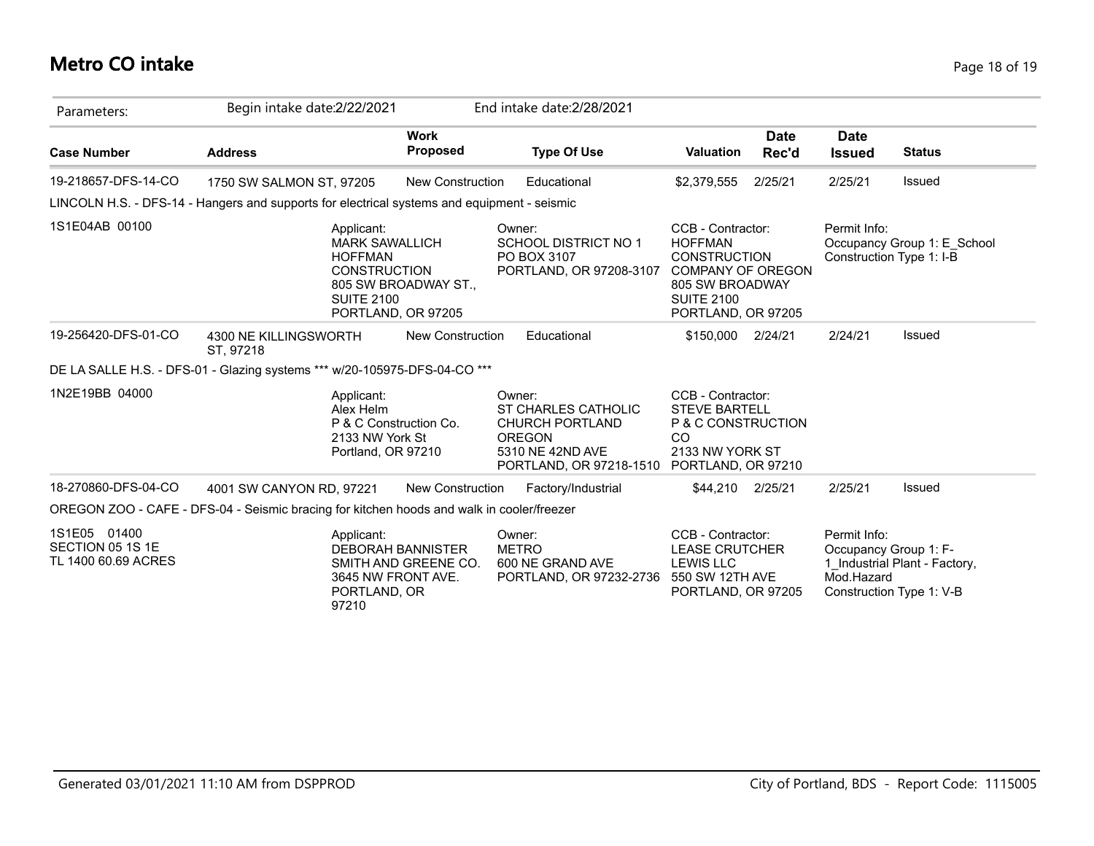### **Metro CO intake** Page 18 of 19

| Parameters:                                             | Begin intake date: 2/22/2021                                                                                            |                                                  | End intake date: 2/28/2021                                                                                              |                                                                                                                                                      |                      |                                                     |                                                           |
|---------------------------------------------------------|-------------------------------------------------------------------------------------------------------------------------|--------------------------------------------------|-------------------------------------------------------------------------------------------------------------------------|------------------------------------------------------------------------------------------------------------------------------------------------------|----------------------|-----------------------------------------------------|-----------------------------------------------------------|
| <b>Case Number</b>                                      | <b>Address</b>                                                                                                          | <b>Work</b><br><b>Proposed</b>                   | <b>Type Of Use</b>                                                                                                      | <b>Valuation</b>                                                                                                                                     | <b>Date</b><br>Rec'd | <b>Date</b><br><b>Issued</b>                        | <b>Status</b>                                             |
| 19-218657-DFS-14-CO                                     | 1750 SW SALMON ST, 97205                                                                                                | <b>New Construction</b>                          | Educational                                                                                                             | \$2,379,555                                                                                                                                          | 2/25/21              | 2/25/21                                             | Issued                                                    |
|                                                         | LINCOLN H.S. - DFS-14 - Hangers and supports for electrical systems and equipment - seismic                             |                                                  |                                                                                                                         |                                                                                                                                                      |                      |                                                     |                                                           |
| 1S1E04AB 00100                                          | Applicant:<br><b>MARK SAWALLICH</b><br><b>HOFFMAN</b><br><b>CONSTRUCTION</b><br><b>SUITE 2100</b><br>PORTLAND, OR 97205 | 805 SW BROADWAY ST.,                             | Owner:<br><b>SCHOOL DISTRICT NO 1</b><br>PO BOX 3107<br>PORTLAND, OR 97208-3107                                         | CCB - Contractor:<br><b>HOFFMAN</b><br><b>CONSTRUCTION</b><br><b>COMPANY OF OREGON</b><br>805 SW BROADWAY<br><b>SUITE 2100</b><br>PORTLAND, OR 97205 |                      | Permit Info:<br>Construction Type 1: I-B            | Occupancy Group 1: E_School                               |
| 19-256420-DFS-01-CO                                     | 4300 NE KILLINGSWORTH<br>ST, 97218                                                                                      | New Construction                                 | Educational                                                                                                             | \$150,000                                                                                                                                            | 2/24/21              | 2/24/21                                             | Issued                                                    |
|                                                         | DE LA SALLE H.S. - DFS-01 - Glazing systems *** w/20-105975-DFS-04-CO ***                                               |                                                  |                                                                                                                         |                                                                                                                                                      |                      |                                                     |                                                           |
| 1N2E19BB 04000                                          | Applicant:<br>Alex Helm<br>P & C Construction Co.<br>2133 NW York St<br>Portland, OR 97210                              |                                                  | Owner:<br>ST CHARLES CATHOLIC<br><b>CHURCH PORTLAND</b><br><b>OREGON</b><br>5310 NE 42ND AVE<br>PORTLAND, OR 97218-1510 | CCB - Contractor:<br><b>STEVE BARTELL</b><br>P & C CONSTRUCTION<br><sub>CO</sub><br>2133 NW YORK ST<br>PORTLAND, OR 97210                            |                      |                                                     |                                                           |
| 18-270860-DFS-04-CO                                     | 4001 SW CANYON RD, 97221                                                                                                | New Construction                                 | Factory/Industrial                                                                                                      | \$44,210                                                                                                                                             | 2/25/21              | 2/25/21                                             | Issued                                                    |
|                                                         | OREGON ZOO - CAFE - DFS-04 - Seismic bracing for kitchen hoods and walk in cooler/freezer                               |                                                  |                                                                                                                         |                                                                                                                                                      |                      |                                                     |                                                           |
| 1S1E05 01400<br>SECTION 05 1S 1E<br>TL 1400 60.69 ACRES | Applicant:<br>3645 NW FRONT AVE.<br>PORTLAND, OR<br>97210                                                               | <b>DEBORAH BANNISTER</b><br>SMITH AND GREENE CO. | Owner:<br><b>METRO</b><br>600 NE GRAND AVE<br>PORTLAND, OR 97232-2736                                                   | CCB - Contractor:<br><b>LEASE CRUTCHER</b><br><b>LEWIS LLC</b><br>550 SW 12TH AVE<br>PORTLAND, OR 97205                                              |                      | Permit Info:<br>Occupancy Group 1: F-<br>Mod.Hazard | 1 Industrial Plant - Factory,<br>Construction Type 1: V-B |